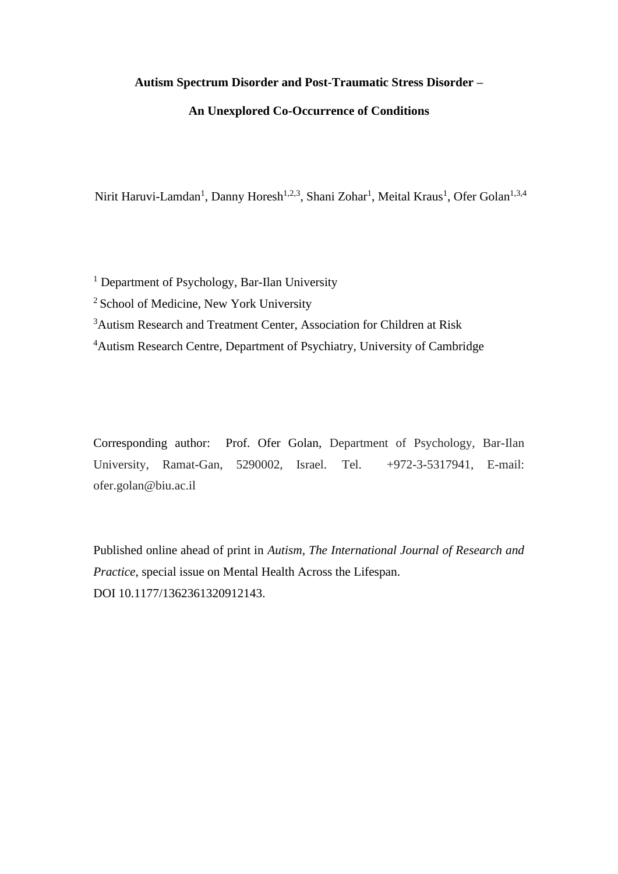## **Autism Spectrum Disorder and Post-Traumatic Stress Disorder –**

## **An Unexplored Co-Occurrence of Conditions**

Nirit Haruvi-Lamdan<sup>1</sup>, Danny Horesh<sup>1,2,3</sup>, Shani Zohar<sup>1</sup>, Meital Kraus<sup>1</sup>, Ofer Golan<sup>1,3,4</sup>

<sup>1</sup> Department of Psychology, Bar-Ilan University

<sup>2</sup> School of Medicine, New York University

<sup>3</sup>Autism Research and Treatment Center, Association for Children at Risk

<sup>4</sup>Autism Research Centre, Department of Psychiatry, University of Cambridge

Corresponding author: Prof. Ofer Golan, Department of Psychology, Bar-Ilan University, Ramat-Gan, 5290002, Israel. Tel. +972-3-5317941, E-mail: ofer.golan@biu.ac.il

Published online ahead of print in *Autism, The International Journal of Research and Practice*, special issue on Mental Health Across the Lifespan. DOI 10.1177/1362361320912143.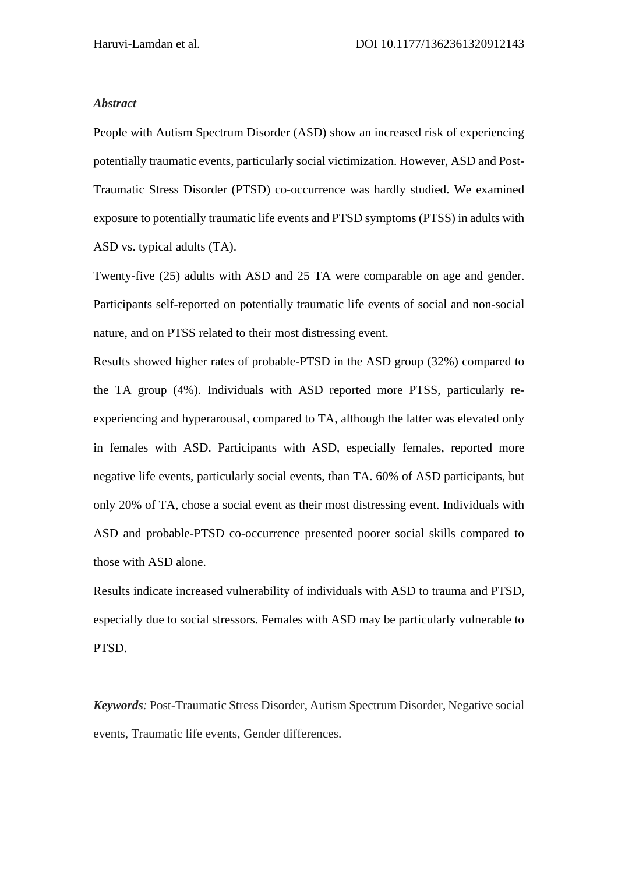### *Abstract*

People with Autism Spectrum Disorder (ASD) show an increased risk of experiencing potentially traumatic events, particularly social victimization. However, ASD and Post-Traumatic Stress Disorder (PTSD) co-occurrence was hardly studied. We examined exposure to potentially traumatic life events and PTSD symptoms (PTSS) in adults with ASD vs. typical adults (TA).

Twenty-five (25) adults with ASD and 25 TA were comparable on age and gender. Participants self-reported on potentially traumatic life events of social and non-social nature, and on PTSS related to their most distressing event.

Results showed higher rates of probable-PTSD in the ASD group (32%) compared to the TA group (4%). Individuals with ASD reported more PTSS, particularly reexperiencing and hyperarousal, compared to TA, although the latter was elevated only in females with ASD. Participants with ASD, especially females, reported more negative life events, particularly social events, than TA. 60% of ASD participants, but only 20% of TA, chose a social event as their most distressing event. Individuals with ASD and probable-PTSD co-occurrence presented poorer social skills compared to those with ASD alone.

Results indicate increased vulnerability of individuals with ASD to trauma and PTSD, especially due to social stressors. Females with ASD may be particularly vulnerable to PTSD.

*Keywords:* Post-Traumatic Stress Disorder, Autism Spectrum Disorder, Negative social events, Traumatic life events, Gender differences.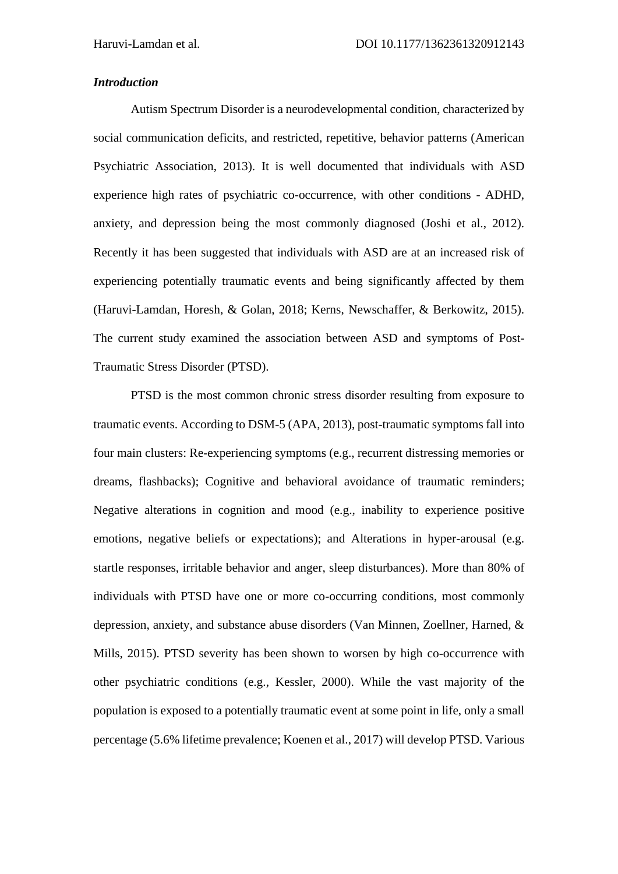## *Introduction*

Autism Spectrum Disorder is a neurodevelopmental condition, characterized by social communication deficits, and restricted, repetitive, behavior patterns (American Psychiatric Association, 2013). It is well documented that individuals with ASD experience high rates of psychiatric co-occurrence, with other conditions - ADHD, anxiety, and depression being the most commonly diagnosed (Joshi et al., 2012). Recently it has been suggested that individuals with ASD are at an increased risk of experiencing potentially traumatic events and being significantly affected by them (Haruvi-Lamdan, Horesh, & Golan, 2018; Kerns, Newschaffer, & Berkowitz, 2015). The current study examined the association between ASD and symptoms of Post-Traumatic Stress Disorder (PTSD).

PTSD is the most common chronic stress disorder resulting from exposure to traumatic events. According to DSM-5 (APA, 2013), post-traumatic symptoms fall into four main clusters: Re-experiencing symptoms (e.g., recurrent distressing memories or dreams, flashbacks); Cognitive and behavioral avoidance of traumatic reminders; Negative alterations in cognition and mood (e.g., inability to experience positive emotions, negative beliefs or expectations); and Alterations in hyper-arousal (e.g. startle responses, irritable behavior and anger, sleep disturbances). More than 80% of individuals with PTSD have one or more co-occurring conditions, most commonly depression, anxiety, and substance abuse disorders (Van Minnen, Zoellner, Harned, & Mills, 2015). PTSD severity has been shown to worsen by high co-occurrence with other psychiatric conditions (e.g., Kessler, 2000). While the vast majority of the population is exposed to a potentially traumatic event at some point in life, only a small percentage (5.6% lifetime prevalence; Koenen et al., 2017) will develop PTSD. Various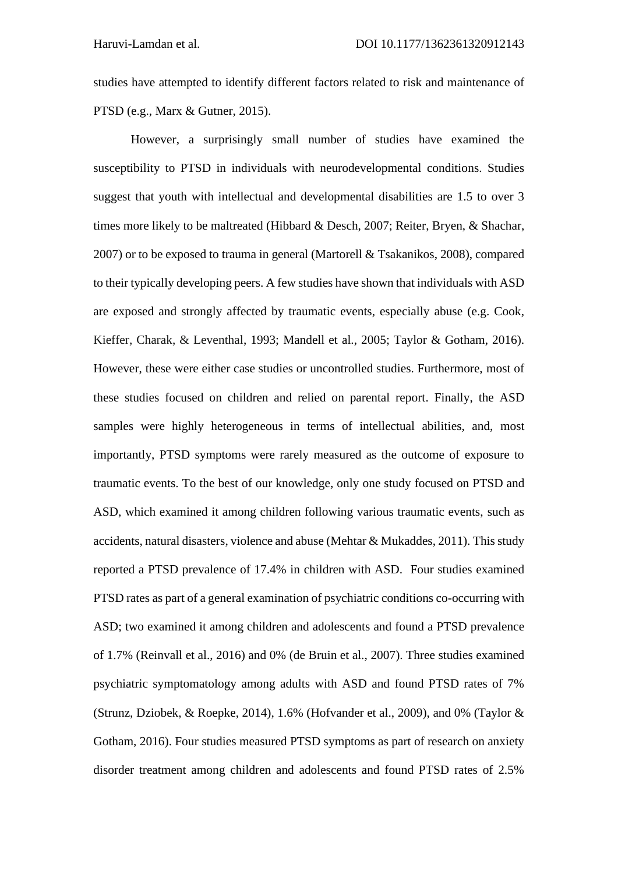studies have attempted to identify different factors related to risk and maintenance of PTSD (e.g., Marx & Gutner, 2015).

However, a surprisingly small number of studies have examined the susceptibility to PTSD in individuals with neurodevelopmental conditions. Studies suggest that youth with intellectual and developmental disabilities are 1.5 to over 3 times more likely to be maltreated (Hibbard & Desch, 2007; Reiter, Bryen, & Shachar, 2007) or to be exposed to trauma in general (Martorell & Tsakanikos, 2008), compared to their typically developing peers. A few studies have shown that individuals with ASD are exposed and strongly affected by traumatic events, especially abuse (e.g. Cook, Kieffer, Charak, & Leventhal, 1993; Mandell et al., 2005; Taylor & Gotham, 2016). However, these were either case studies or uncontrolled studies. Furthermore, most of these studies focused on children and relied on parental report. Finally, the ASD samples were highly heterogeneous in terms of intellectual abilities, and, most importantly, PTSD symptoms were rarely measured as the outcome of exposure to traumatic events. To the best of our knowledge, only one study focused on PTSD and ASD, which examined it among children following various traumatic events, such as accidents, natural disasters, violence and abuse (Mehtar & Mukaddes, 2011). This study reported a PTSD prevalence of 17.4% in children with ASD. Four studies examined PTSD rates as part of a general examination of psychiatric conditions co-occurring with ASD; two examined it among children and adolescents and found a PTSD prevalence of 1.7% (Reinvall et al., 2016) and 0% (de Bruin et al., 2007). Three studies examined psychiatric symptomatology among adults with ASD and found PTSD rates of 7% (Strunz, Dziobek, & Roepke, 2014), 1.6% (Hofvander et al., 2009), and 0% (Taylor & Gotham, 2016). Four studies measured PTSD symptoms as part of research on anxiety disorder treatment among children and adolescents and found PTSD rates of 2.5%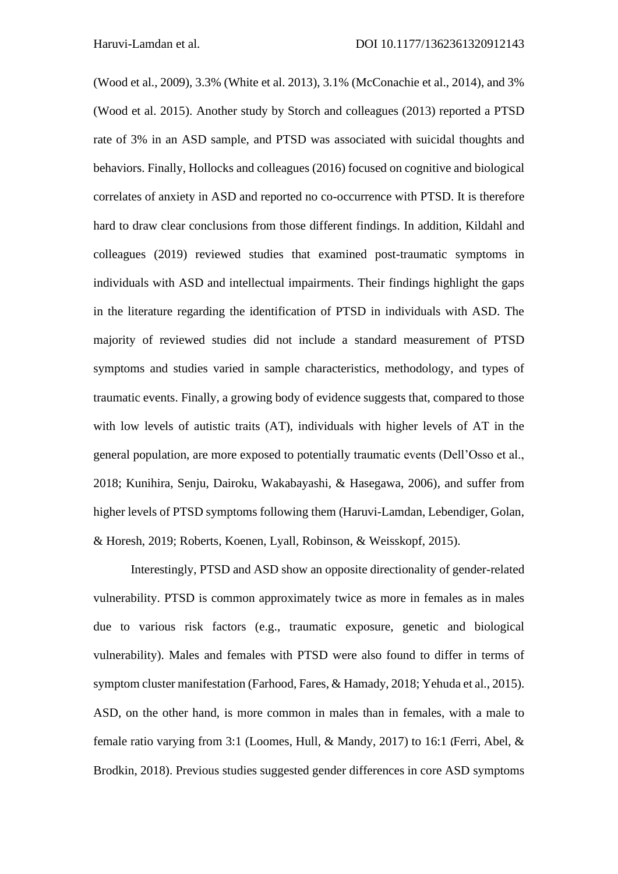(Wood et al., 2009), 3.3% (White et al. 2013), 3.1% (McConachie et al., 2014), and 3% (Wood et al. 2015). Another study by Storch and colleagues (2013) reported a PTSD rate of 3% in an ASD sample, and PTSD was associated with suicidal thoughts and behaviors. Finally, Hollocks and colleagues (2016) focused on cognitive and biological correlates of anxiety in ASD and reported no co-occurrence with PTSD. It is therefore hard to draw clear conclusions from those different findings. In addition, Kildahl and colleagues (2019) reviewed studies that examined post-traumatic symptoms in individuals with ASD and intellectual impairments. Their findings highlight the gaps in the literature regarding the identification of PTSD in individuals with ASD. The majority of reviewed studies did not include a standard measurement of PTSD symptoms and studies varied in sample characteristics, methodology, and types of traumatic events. Finally, a growing body of evidence suggests that, compared to those with low levels of autistic traits (AT), individuals with higher levels of AT in the general population, are more exposed to potentially traumatic events (Dell'Osso et al., 2018; Kunihira, Senju, Dairoku, Wakabayashi, & Hasegawa, 2006), and suffer from higher levels of PTSD symptoms following them (Haruvi-Lamdan, Lebendiger, Golan, & Horesh, 2019; Roberts, Koenen, Lyall, Robinson, & Weisskopf, 2015).

Interestingly, PTSD and ASD show an opposite directionality of gender-related vulnerability. PTSD is common approximately twice as more in females as in males due to various risk factors (e.g., traumatic exposure, genetic and biological vulnerability). Males and females with PTSD were also found to differ in terms of symptom cluster manifestation (Farhood, Fares, & Hamady, 2018; Yehuda et al., 2015). ASD, on the other hand, is more common in males than in females, with a male to female ratio varying from 3:1 (Loomes, Hull, & Mandy, 2017) to 16:1 (Ferri, Abel, & Brodkin, 2018). Previous studies suggested gender differences in core ASD symptoms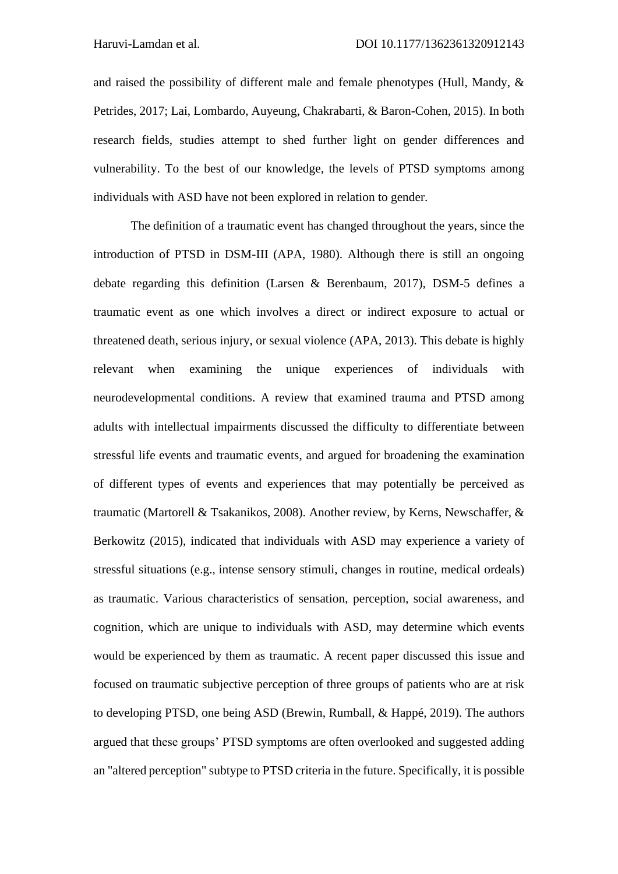and raised the possibility of different male and female phenotypes (Hull, Mandy, & Petrides, 2017; Lai, Lombardo, Auyeung, Chakrabarti, & Baron-Cohen, 2015). In both research fields, studies attempt to shed further light on gender differences and vulnerability. To the best of our knowledge, the levels of PTSD symptoms among individuals with ASD have not been explored in relation to gender.

The definition of a traumatic event has changed throughout the years, since the introduction of PTSD in DSM-III (APA, 1980). Although there is still an ongoing debate regarding this definition (Larsen & Berenbaum, 2017), DSM-5 defines a traumatic event as one which involves a direct or indirect exposure to actual or threatened death, serious injury, or sexual violence (APA, 2013). This debate is highly relevant when examining the unique experiences of individuals with neurodevelopmental conditions. A review that examined trauma and PTSD among adults with intellectual impairments discussed the difficulty to differentiate between stressful life events and traumatic events, and argued for broadening the examination of different types of events and experiences that may potentially be perceived as traumatic (Martorell & Tsakanikos, 2008). Another review, by Kerns, Newschaffer, & Berkowitz (2015), indicated that individuals with ASD may experience a variety of stressful situations (e.g., intense sensory stimuli, changes in routine, medical ordeals) as traumatic. Various characteristics of sensation, perception, social awareness, and cognition, which are unique to individuals with ASD, may determine which events would be experienced by them as traumatic. A recent paper discussed this issue and focused on traumatic subjective perception of three groups of patients who are at risk to developing PTSD, one being ASD (Brewin, Rumball, & Happé, 2019). The authors argued that these groups' PTSD symptoms are often overlooked and suggested adding an "altered perception" subtype to PTSD criteria in the future. Specifically, it is possible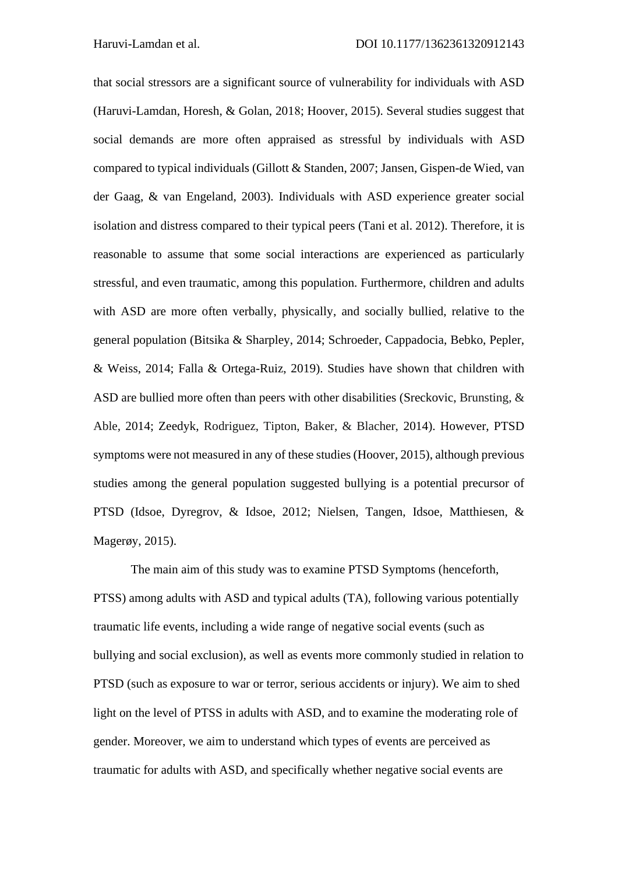that social stressors are a significant source of vulnerability for individuals with ASD (Haruvi-Lamdan, Horesh, & Golan, 2018; Hoover, 2015). Several studies suggest that social demands are more often appraised as stressful by individuals with ASD compared to typical individuals (Gillott & Standen, 2007; Jansen, Gispen-de Wied, van der Gaag, & van Engeland, 2003). Individuals with ASD experience greater social isolation and distress compared to their typical peers (Tani et al. 2012). Therefore, it is reasonable to assume that some social interactions are experienced as particularly stressful, and even traumatic, among this population. Furthermore, children and adults with ASD are more often verbally, physically, and socially bullied, relative to the general population (Bitsika & Sharpley, 2014; Schroeder, Cappadocia, Bebko, Pepler, & Weiss, 2014; Falla & Ortega-Ruiz, 2019). Studies have shown that children with ASD are bullied more often than peers with other disabilities (Sreckovic, Brunsting, & Able, 2014; Zeedyk, Rodriguez, Tipton, Baker, & Blacher, 2014). However, PTSD symptoms were not measured in any of these studies (Hoover, 2015), although previous studies among the general population suggested bullying is a potential precursor of PTSD (Idsoe, Dyregrov, & Idsoe, 2012; Nielsen, Tangen, Idsoe, Matthiesen, & Magerøy, 2015).

The main aim of this study was to examine PTSD Symptoms (henceforth, PTSS) among adults with ASD and typical adults (TA), following various potentially traumatic life events, including a wide range of negative social events (such as bullying and social exclusion), as well as events more commonly studied in relation to PTSD (such as exposure to war or terror, serious accidents or injury). We aim to shed light on the level of PTSS in adults with ASD, and to examine the moderating role of gender. Moreover, we aim to understand which types of events are perceived as traumatic for adults with ASD, and specifically whether negative social events are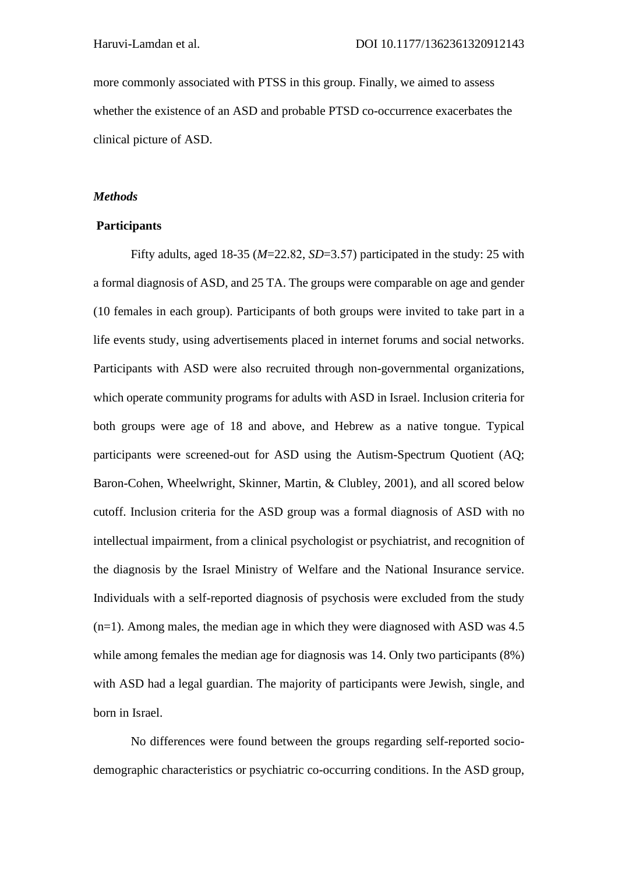more commonly associated with PTSS in this group. Finally, we aimed to assess whether the existence of an ASD and probable PTSD co-occurrence exacerbates the clinical picture of ASD.

### *Methods*

#### **Participants**

Fifty adults, aged 18-35 (*M*=22.82, *SD*=3.57) participated in the study: 25 with a formal diagnosis of ASD, and 25 TA. The groups were comparable on age and gender (10 females in each group). Participants of both groups were invited to take part in a life events study, using advertisements placed in internet forums and social networks. Participants with ASD were also recruited through non-governmental organizations, which operate community programs for adults with ASD in Israel. Inclusion criteria for both groups were age of 18 and above, and Hebrew as a native tongue. Typical participants were screened-out for ASD using the Autism-Spectrum Quotient (AQ; Baron-Cohen, Wheelwright, Skinner, Martin, & Clubley, 2001), and all scored below cutoff. Inclusion criteria for the ASD group was a formal diagnosis of ASD with no intellectual impairment, from a clinical psychologist or psychiatrist, and recognition of the diagnosis by the Israel Ministry of Welfare and the National Insurance service. Individuals with a self-reported diagnosis of psychosis were excluded from the study  $(n=1)$ . Among males, the median age in which they were diagnosed with ASD was 4.5 while among females the median age for diagnosis was 14. Only two participants (8%) with ASD had a legal guardian. The majority of participants were Jewish, single, and born in Israel.

No differences were found between the groups regarding self-reported sociodemographic characteristics or psychiatric co-occurring conditions. In the ASD group,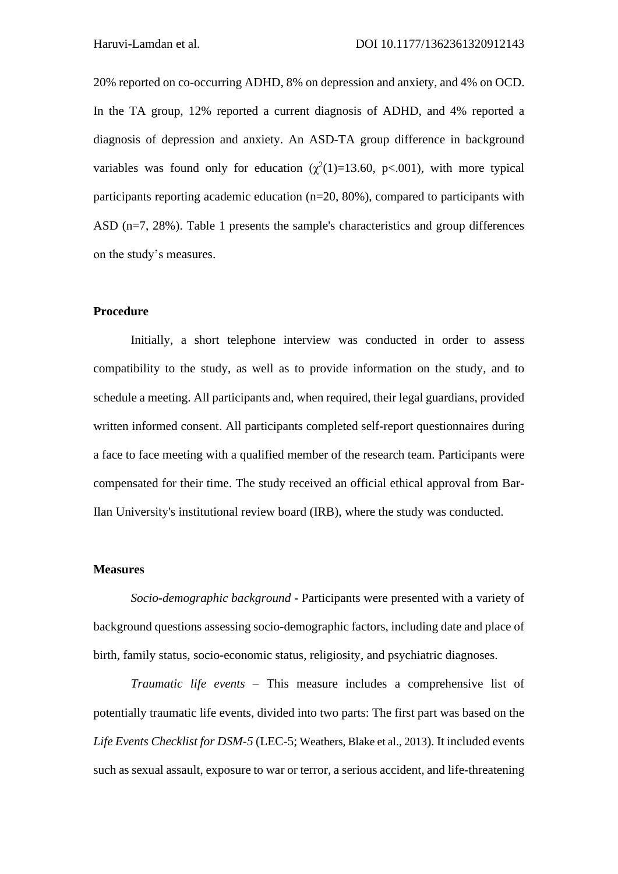20% reported on co-occurring ADHD, 8% on depression and anxiety, and 4% on OCD. In the TA group, 12% reported a current diagnosis of ADHD, and 4% reported a diagnosis of depression and anxiety. An ASD-TA group difference in background variables was found only for education  $(\chi^2(1)=13.60, \text{ p} < .001)$ , with more typical participants reporting academic education (n=20, 80%), compared to participants with ASD (n=7, 28%). Table 1 presents the sample's characteristics and group differences on the study's measures.

## **Procedure**

Initially, a short telephone interview was conducted in order to assess compatibility to the study, as well as to provide information on the study, and to schedule a meeting. All participants and, when required, their legal guardians, provided written informed consent. All participants completed self-report questionnaires during a face to face meeting with a qualified member of the research team. Participants were compensated for their time. The study received an official ethical approval from Bar-Ilan University's institutional review board (IRB), where the study was conducted.

#### **Measures**

*Socio-demographic background -* Participants were presented with a variety of background questions assessing socio-demographic factors, including date and place of birth, family status, socio-economic status, religiosity, and psychiatric diagnoses.

*Traumatic life events –* This measure includes a comprehensive list of potentially traumatic life events, divided into two parts: The first part was based on the *Life Events Checklist for DSM-5* (LEC-5; Weathers, Blake et al., 2013). It included events such as sexual assault, exposure to war or terror, a serious accident, and life-threatening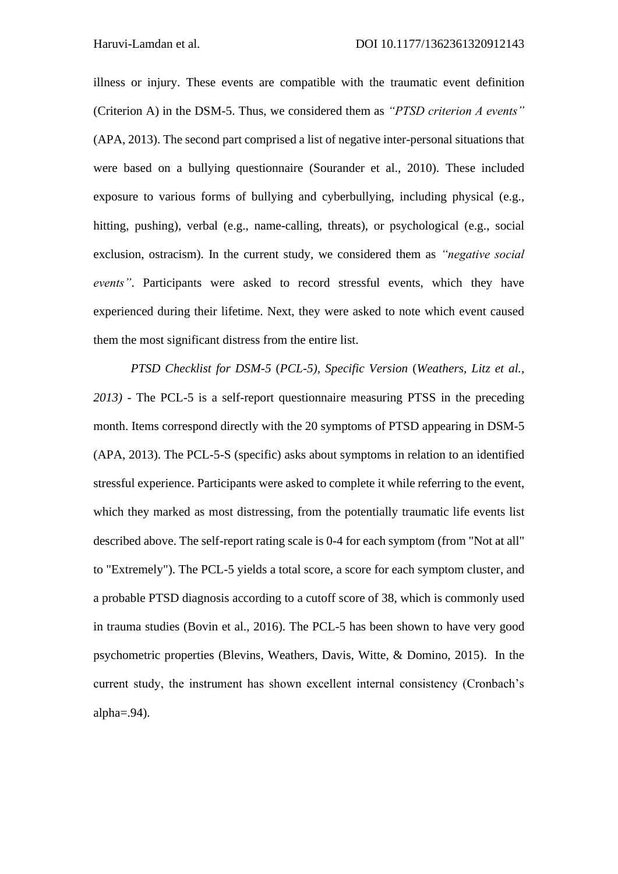illness or injury. These events are compatible with the traumatic event definition (Criterion A) in the DSM-5. Thus, we considered them as *"PTSD criterion A events"* (APA, 2013). The second part comprised a list of negative inter-personal situations that were based on a bullying questionnaire (Sourander et al., 2010). These included exposure to various forms of bullying and cyberbullying, including physical (e.g., hitting, pushing), verbal (e.g., name-calling, threats), or psychological (e.g., social exclusion, ostracism). In the current study, we considered them as *"negative social events"*. Participants were asked to record stressful events, which they have experienced during their lifetime. Next, they were asked to note which event caused them the most significant distress from the entire list.

*PTSD Checklist for DSM-5* (*PCL-5), Specific Version* (*Weathers, Litz et al., 2013)* - The PCL-5 is a self-report questionnaire measuring PTSS in the preceding month. Items correspond directly with the 20 symptoms of PTSD appearing in DSM-5 (APA, 2013). The PCL-5-S (specific) asks about symptoms in relation to an identified stressful experience. Participants were asked to complete it while referring to the event, which they marked as most distressing, from the potentially traumatic life events list described above. The self-report rating scale is 0-4 for each symptom (from "Not at all" to "Extremely"). The PCL-5 yields a total score, a score for each symptom cluster, and a probable PTSD diagnosis according to a cutoff score of 38, which is commonly used in trauma studies (Bovin et al., 2016). The PCL-5 has been shown to have very good psychometric properties (Blevins, Weathers, Davis, Witte, & Domino, 2015). In the current study, the instrument has shown excellent internal consistency (Cronbach's alpha $=$ .94).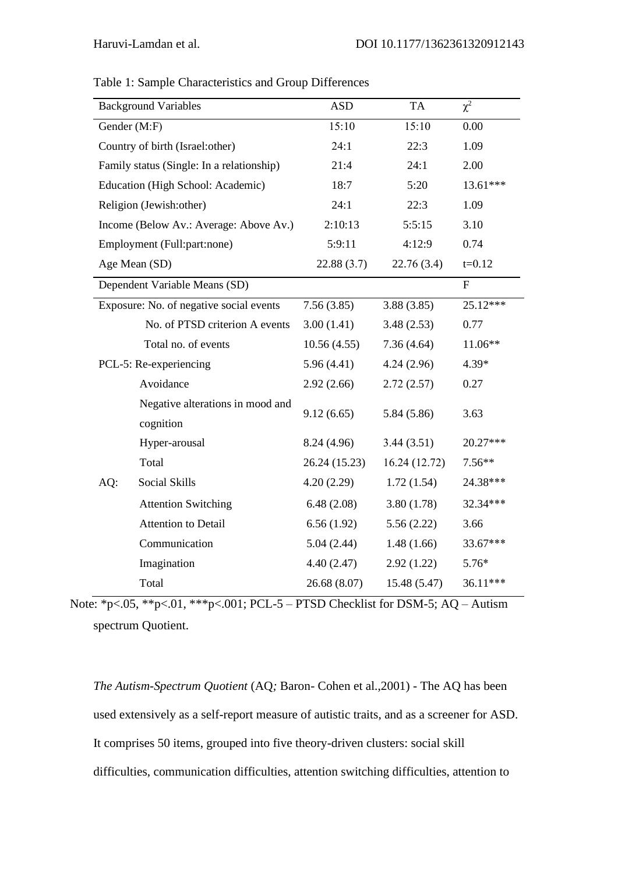|                        | <b>Background Variables</b>                   | <b>ASD</b>    | <b>TA</b>    | $\chi^2$       |
|------------------------|-----------------------------------------------|---------------|--------------|----------------|
| Gender (M:F)           |                                               | 15:10         | 15:10        | 0.00           |
|                        | Country of birth (Israel:other)               | 24:1          | 22:3         | 1.09           |
|                        | Family status (Single: In a relationship)     | 21:4          | 24:1         | 2.00           |
|                        | Education (High School: Academic)             | 18:7          | 5:20         | 13.61***       |
|                        | Religion (Jewish:other)                       | 24:1          | 22:3         | 1.09           |
|                        | Income (Below Av.: Average: Above Av.)        | 2:10:13       | 5:5:15       | 3.10           |
|                        | Employment (Full:part:none)                   | 5:9:11        | 4:12:9       | 0.74           |
|                        | Age Mean (SD)                                 | 22.88(3.7)    | 22.76 (3.4)  | $t = 0.12$     |
|                        | Dependent Variable Means (SD)                 |               |              | $\overline{F}$ |
|                        | Exposure: No. of negative social events       | 7.56(3.85)    | 3.88(3.85)   | 25.12***       |
|                        | No. of PTSD criterion A events                | 3.00(1.41)    | 3.48(2.53)   | 0.77           |
|                        | Total no. of events                           | 10.56(4.55)   | 7.36(4.64)   | 11.06**        |
| PCL-5: Re-experiencing |                                               | 5.96(4.41)    | 4.24(2.96)   | 4.39*          |
|                        | Avoidance                                     | 2.92(2.66)    | 2.72(2.57)   | 0.27           |
|                        | Negative alterations in mood and<br>cognition | 9.12(6.65)    | 5.84 (5.86)  | 3.63           |
|                        | Hyper-arousal                                 | 8.24 (4.96)   | 3.44(3.51)   | 20.27***       |
|                        | Total                                         | 26.24 (15.23) | 16.24(12.72) | $7.56**$       |
| AQ:                    | Social Skills                                 | 4.20(2.29)    | 1.72(1.54)   | 24.38***       |
|                        | <b>Attention Switching</b>                    | 6.48(2.08)    | 3.80(1.78)   | 32.34***       |
|                        | Attention to Detail                           | 6.56(1.92)    | 5.56(2.22)   | 3.66           |
|                        | Communication                                 | 5.04(2.44)    | 1.48(1.66)   | 33.67***       |
|                        | Imagination                                   | 4.40(2.47)    | 2.92(1.22)   | $5.76*$        |
|                        | Total                                         | 26.68 (8.07)  | 15.48 (5.47) | 36.11***       |

Table 1: Sample Characteristics and Group Differences

Note: \*p<.05, \*\*p<.01, \*\*\*p<.001; PCL-5 – PTSD Checklist for DSM-5; AQ – Autism spectrum Quotient.

*The Autism-Spectrum Quotient* (AQ*;* Baron- Cohen et al.,2001) - The AQ has been used extensively as a self-report measure of autistic traits, and as a screener for ASD. It comprises 50 items, grouped into five theory-driven clusters: social skill difficulties, communication difficulties, attention switching difficulties, attention to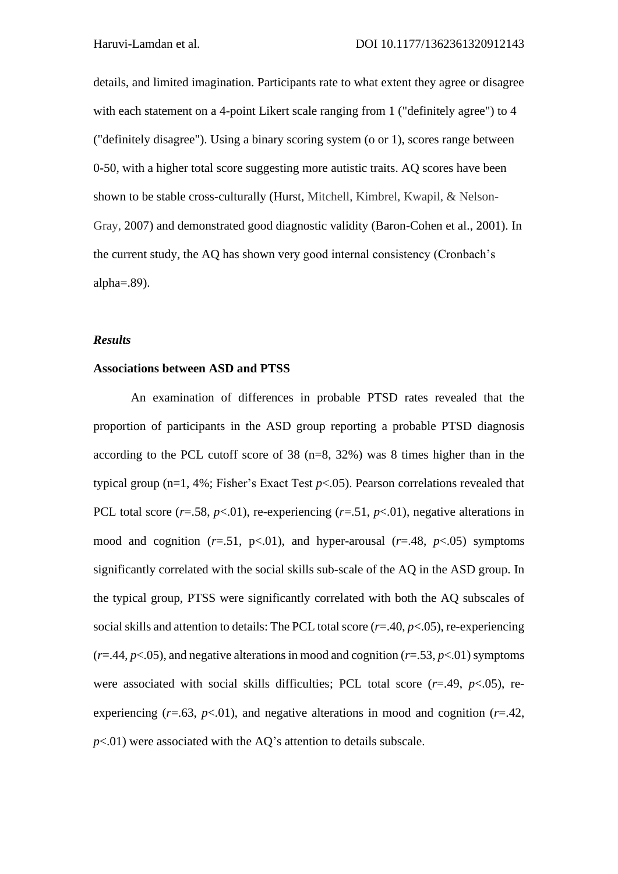details, and limited imagination. Participants rate to what extent they agree or disagree with each statement on a 4-point Likert scale ranging from 1 ("definitely agree") to 4 ("definitely disagree"). Using a binary scoring system (o or 1), scores range between 0-50, with a higher total score suggesting more autistic traits. AQ scores have been shown to be stable cross-culturally (Hurst, Mitchell, Kimbrel, Kwapil, & Nelson-Gray, 2007) and demonstrated good diagnostic validity (Baron-Cohen et al., 2001). In the current study, the AQ has shown very good internal consistency (Cronbach's alpha $=$ .89).

#### *Results*

## **Associations between ASD and PTSS**

An examination of differences in probable PTSD rates revealed that the proportion of participants in the ASD group reporting a probable PTSD diagnosis according to the PCL cutoff score of 38 (n=8, 32%) was 8 times higher than in the typical group (n=1, 4%; Fisher's Exact Test *p*<.05). Pearson correlations revealed that PCL total score  $(r=.58, p<.01)$ , re-experiencing  $(r=.51, p<.01)$ , negative alterations in mood and cognition  $(r=.51, p<.01)$ , and hyper-arousal  $(r=.48, p<.05)$  symptoms significantly correlated with the social skills sub-scale of the AQ in the ASD group. In the typical group, PTSS were significantly correlated with both the AQ subscales of social skills and attention to details: The PCL total score (*r*=.40, *p*<.05), re-experiencing  $(r=44, p<0.05)$ , and negative alterations in mood and cognition  $(r=0.53, p<0.01)$  symptoms were associated with social skills difficulties; PCL total score (*r*=.49, *p*<.05), reexperiencing  $(r=.63, p<.01)$ , and negative alterations in mood and cognition  $(r=.42,$  $p<01$ ) were associated with the AQ's attention to details subscale.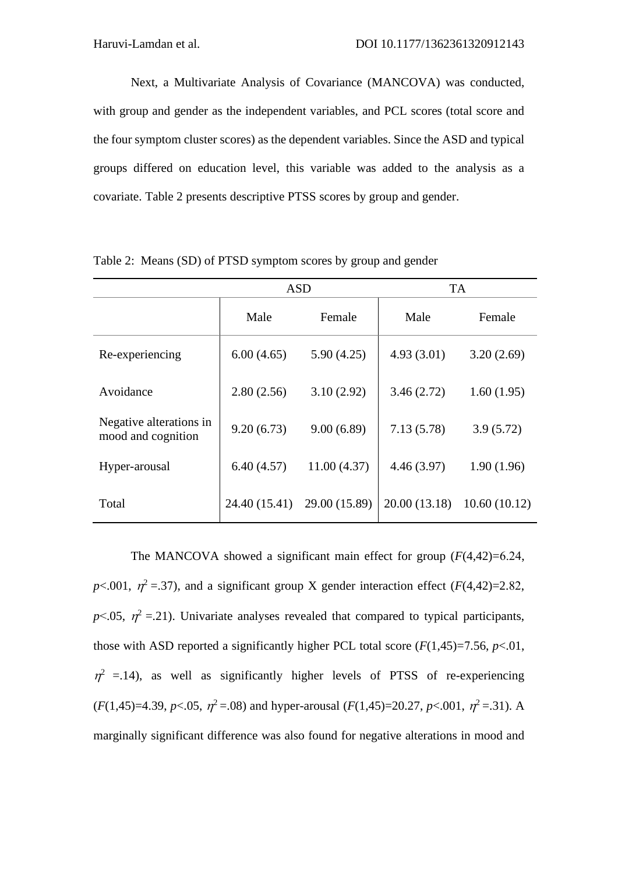Next, a Multivariate Analysis of Covariance (MANCOVA) was conducted, with group and gender as the independent variables, and PCL scores (total score and the four symptom cluster scores) as the dependent variables. Since the ASD and typical groups differed on education level, this variable was added to the analysis as a covariate. Table 2 presents descriptive PTSS scores by group and gender.

|                                               | <b>ASD</b>    |               | <b>TA</b>     |              |  |
|-----------------------------------------------|---------------|---------------|---------------|--------------|--|
|                                               | Male          | Female        | Male          | Female       |  |
| Re-experiencing                               | 6.00(4.65)    | 5.90(4.25)    | 4.93(3.01)    | 3.20(2.69)   |  |
| Avoidance                                     | 2.80(2.56)    | 3.10(2.92)    | 3.46(2.72)    | 1.60(1.95)   |  |
| Negative alterations in<br>mood and cognition | 9.20(6.73)    | 9.00(6.89)    | 7.13(5.78)    | 3.9(5.72)    |  |
| Hyper-arousal                                 | 6.40(4.57)    | 11.00(4.37)   | 4.46(3.97)    | 1.90(1.96)   |  |
| Total                                         | 24.40 (15.41) | 29.00 (15.89) | 20.00 (13.18) | 10.60(10.12) |  |

Table 2: Means (SD) of PTSD symptom scores by group and gender

The MANCOVA showed a significant main effect for group (*F*(4,42)=6.24,  $p$ <.001,  $\eta^2$  =.37), and a significant group X gender interaction effect (*F*(4,42)=2.82,  $p$ <.05,  $\eta^2$  =.21). Univariate analyses revealed that compared to typical participants, those with ASD reported a significantly higher PCL total score  $(F(1,45)=7.56, p<.01$ ,  $\eta^2$  =.14), as well as significantly higher levels of PTSS of re-experiencing  $(F(1,45)=4.39, p<.05, \eta^2=.08)$  and hyper-arousal  $(F(1,45)=20.27, p<.001, \eta^2=.31)$ . A marginally significant difference was also found for negative alterations in mood and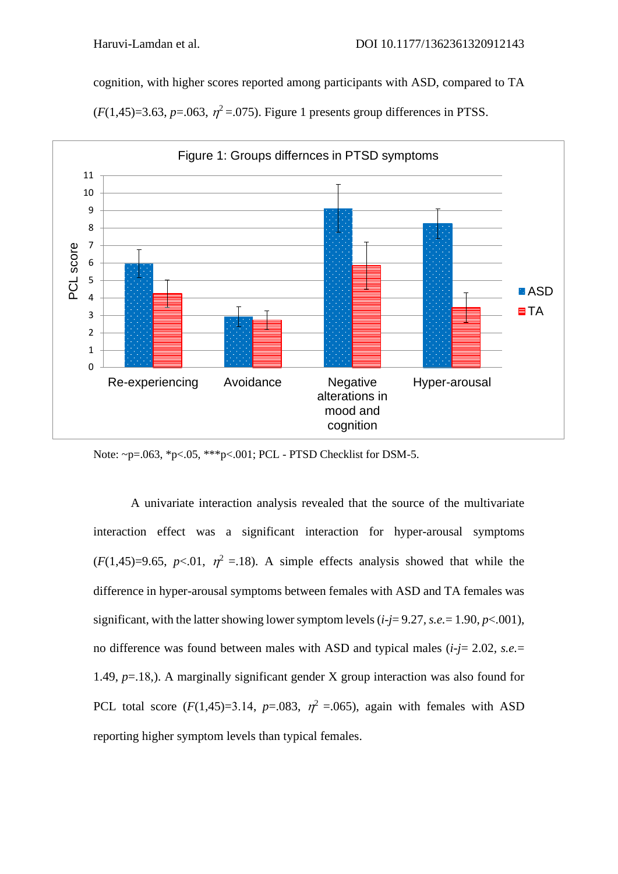cognition, with higher scores reported among participants with ASD, compared to TA

 $(F(1, 45)=3.63, p=.063, \eta^2=.075)$ . Figure 1 presents group differences in PTSS.



Note: ~p=.063, \*p<.05, \*\*\*p<.001; PCL - PTSD Checklist for DSM-5.

A univariate interaction analysis revealed that the source of the multivariate interaction effect was a significant interaction for hyper-arousal symptoms  $(F(1,45)=9.65, p<.01, \eta^2 = .18)$ . A simple effects analysis showed that while the difference in hyper-arousal symptoms between females with ASD and TA females was significant, with the latter showing lower symptom levels (*i-j*= 9.27*, s.e.*= 1.90, *p*<.001), no difference was found between males with ASD and typical males (*i-j*= 2.02*, s.e.*= 1.49, *p*=.18,). A marginally significant gender X group interaction was also found for PCL total score  $(F(1,45)=3.14, p=.083, \eta^2=.065)$ , again with females with ASD reporting higher symptom levels than typical females.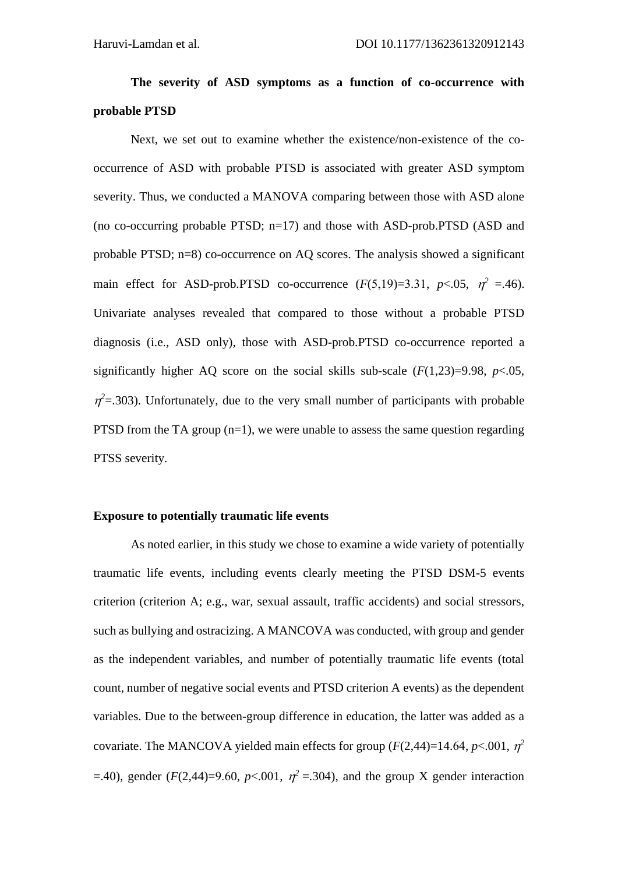# **The severity of ASD symptoms as a function of co-occurrence with probable PTSD**

Next, we set out to examine whether the existence/non-existence of the cooccurrence of ASD with probable PTSD is associated with greater ASD symptom severity. Thus, we conducted a MANOVA comparing between those with ASD alone (no co-occurring probable PTSD; n=17) and those with ASD-prob.PTSD (ASD and probable PTSD; n=8) co-occurrence on AQ scores. The analysis showed a significant main effect for ASD-prob.PTSD co-occurrence  $(F(5,19)=3.31, p<.05, \eta^2 = .46)$ . Univariate analyses revealed that compared to those without a probable PTSD diagnosis (i.e., ASD only), those with ASD-prob.PTSD co-occurrence reported a significantly higher AQ score on the social skills sub-scale  $(F(1,23)=9.98, p<.05,$  $\eta^2$ =.303). Unfortunately, due to the very small number of participants with probable PTSD from the TA group  $(n=1)$ , we were unable to assess the same question regarding PTSS severity.

#### **Exposure to potentially traumatic life events**

As noted earlier, in this study we chose to examine a wide variety of potentially traumatic life events, including events clearly meeting the PTSD DSM-5 events criterion (criterion A; e.g., war, sexual assault, traffic accidents) and social stressors, such as bullying and ostracizing. A MANCOVA was conducted, with group and gender as the independent variables, and number of potentially traumatic life events (total count, number of negative social events and PTSD criterion A events) as the dependent variables. Due to the between-group difference in education, the latter was added as a covariate. The MANCOVA yielded main effects for group  $(F(2,44)=14.64, p<.001, \eta^2)$  $=$ .40), gender (*F*(2,44)=9.60, *p*<.001,  $\eta^2 = 304$ ), and the group X gender interaction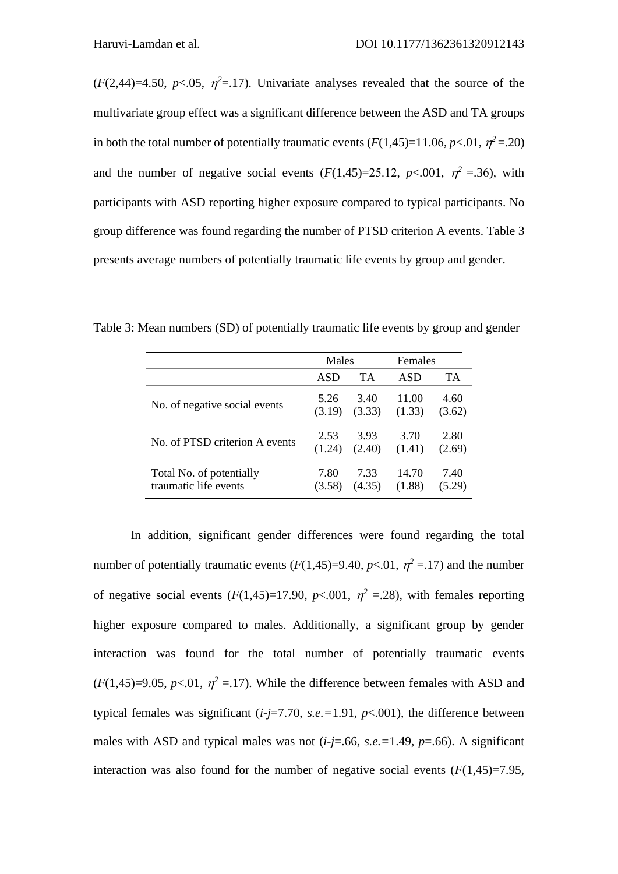$(F(2, 44)=4.50, p<.05, \eta^2=17)$ . Univariate analyses revealed that the source of the multivariate group effect was a significant difference between the ASD and TA groups in both the total number of potentially traumatic events  $(F(1,45)=11.06, p<.01, \eta^2=.20)$ and the number of negative social events  $(F(1,45)=25.12, p<.001, \eta^2 = .36)$ , with participants with ASD reporting higher exposure compared to typical participants. No group difference was found regarding the number of PTSD criterion A events. Table 3 presents average numbers of potentially traumatic life events by group and gender.

|                                | Males  |           | Females |        |
|--------------------------------|--------|-----------|---------|--------|
|                                | ASD    | <b>TA</b> | ASD     | TA     |
| No. of negative social events  | 5.26   | 3.40      | 11.00   | 4.60   |
|                                | (3.19) | (3.33)    | (1.33)  | (3.62) |
| No. of PTSD criterion A events | 2.53   | 3.93      | 3.70    | 2.80   |
|                                | (1.24) | (2.40)    | (1.41)  | (2.69) |
| Total No. of potentially       | 7.80   | 7.33      | 14.70   | 7.40   |
| traumatic life events          | (3.58) | (4.35)    | (1.88)  | (5.29) |

Table 3: Mean numbers (SD) of potentially traumatic life events by group and gender

In addition, significant gender differences were found regarding the total number of potentially traumatic events  $(F(1,45)=9.40, p<.01, \eta^2=.17)$  and the number of negative social events  $(F(1,45)=17.90, p<.001, \eta^2 = .28)$ , with females reporting higher exposure compared to males. Additionally, a significant group by gender interaction was found for the total number of potentially traumatic events  $(F(1,45)=9.05, p<0.01, \eta^2=17)$ . While the difference between females with ASD and typical females was significant  $(i-j=7.70, s.e. = 1.91, p<.001)$ , the difference between males with ASD and typical males was not  $(i-j=0.66, s.e.=1.49, p=.66)$ . A significant interaction was also found for the number of negative social events  $(F(1,45)=7.95,$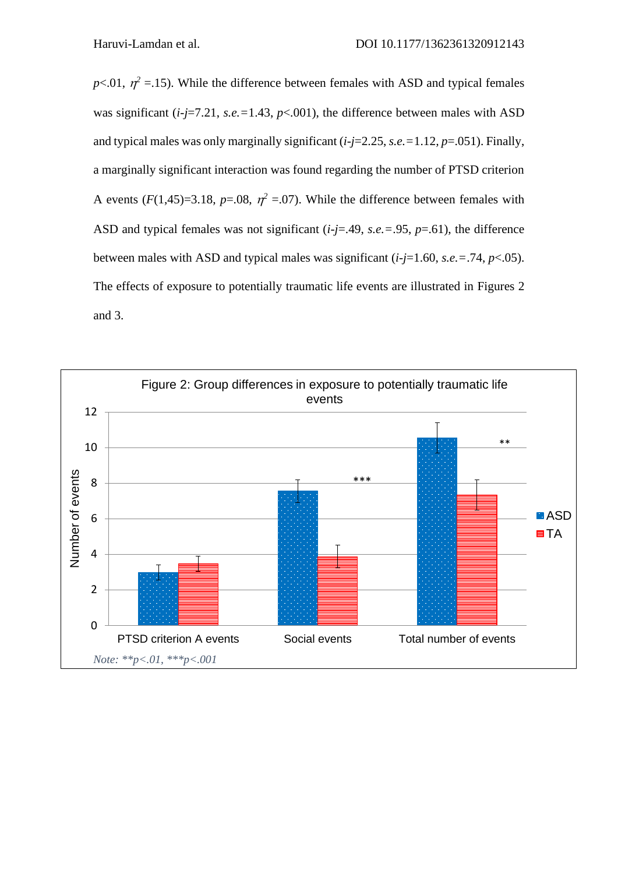$p<.01$ ,  $\eta^2 = 0.15$ ). While the difference between females with ASD and typical females was significant  $(i-j=7.21, s.e. = 1.43, p<.001)$ , the difference between males with ASD and typical males was only marginally significant (*i-j*=2.25, *s.e.=*1.12*, p*=.051). Finally, a marginally significant interaction was found regarding the number of PTSD criterion A events  $(F(1,45)=3.18, p=.08, \eta^2=.07)$ . While the difference between females with ASD and typical females was not significant (*i-j*=.49, *s.e.=*.95, *p*=.61), the difference between males with ASD and typical males was significant  $(i-j=1.60, s.e. = .74, p < .05)$ . The effects of exposure to potentially traumatic life events are illustrated in Figures 2 and 3.

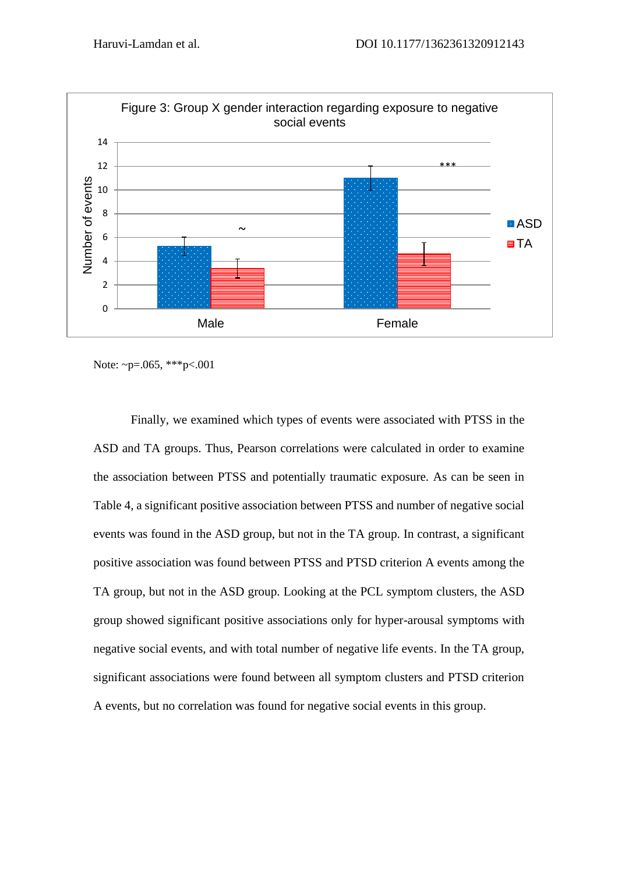

Note: ~p=.065, \*\*\*p<.001

Finally, we examined which types of events were associated with PTSS in the ASD and TA groups. Thus, Pearson correlations were calculated in order to examine the association between PTSS and potentially traumatic exposure. As can be seen in Table 4, a significant positive association between PTSS and number of negative social events was found in the ASD group, but not in the TA group. In contrast, a significant positive association was found between PTSS and PTSD criterion A events among the TA group, but not in the ASD group. Looking at the PCL symptom clusters, the ASD group showed significant positive associations only for hyper-arousal symptoms with negative social events, and with total number of negative life events. In the TA group, significant associations were found between all symptom clusters and PTSD criterion A events, but no correlation was found for negative social events in this group.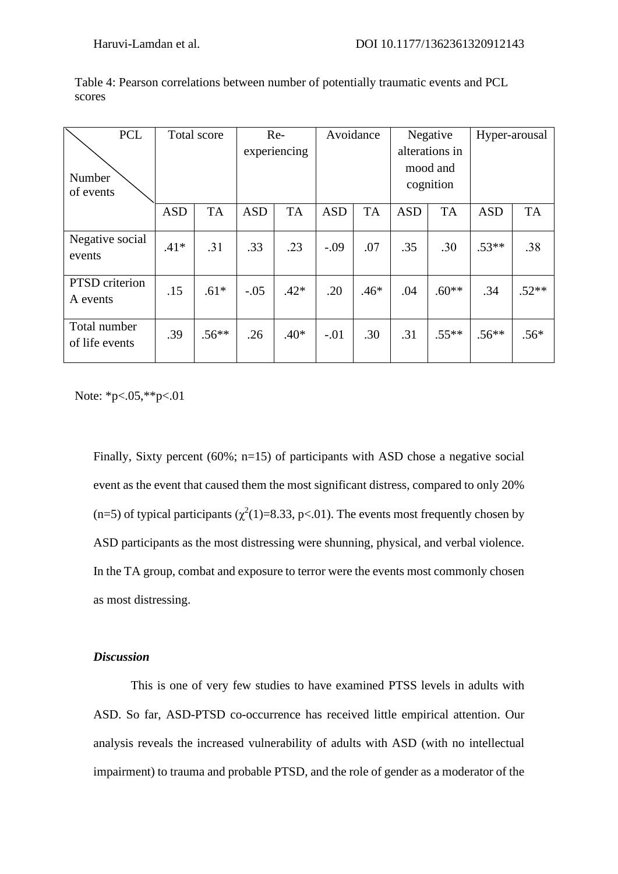| <b>PCL</b>                     | Total score |           | Re-        |              | Avoidance  |           | Negative   |                | Hyper-arousal |           |
|--------------------------------|-------------|-----------|------------|--------------|------------|-----------|------------|----------------|---------------|-----------|
|                                |             |           |            | experiencing |            |           |            | alterations in |               |           |
| Number                         |             |           |            |              |            |           |            | mood and       |               |           |
| of events                      |             |           |            |              |            |           |            | cognition      |               |           |
|                                | <b>ASD</b>  | <b>TA</b> | <b>ASD</b> | <b>TA</b>    | <b>ASD</b> | <b>TA</b> | <b>ASD</b> | <b>TA</b>      | <b>ASD</b>    | <b>TA</b> |
| Negative social<br>events      | $.41*$      | .31       | .33        | .23          | $-.09$     | .07       | .35        | .30            | $.53**$       | .38       |
| PTSD criterion<br>A events     | .15         | $.61*$    | $-.05$     | $.42*$       | .20        | $.46*$    | .04        | $.60**$        | .34           | $.52**$   |
| Total number<br>of life events | .39         | $.56**$   | .26        | $.40*$       | $-.01$     | .30       | .31        | $.55***$       | $.56**$       | $.56*$    |

Table 4: Pearson correlations between number of potentially traumatic events and PCL scores

Note: \*p<.05,\*\*p<.01

Finally, Sixty percent (60%; n=15) of participants with ASD chose a negative social event as the event that caused them the most significant distress, compared to only 20% (n=5) of typical participants ( $\chi^2(1)$ =8.33, p<.01). The events most frequently chosen by ASD participants as the most distressing were shunning, physical, and verbal violence. In the TA group, combat and exposure to terror were the events most commonly chosen as most distressing.

## *Discussion*

This is one of very few studies to have examined PTSS levels in adults with ASD. So far, ASD-PTSD co-occurrence has received little empirical attention. Our analysis reveals the increased vulnerability of adults with ASD (with no intellectual impairment) to trauma and probable PTSD, and the role of gender as a moderator of the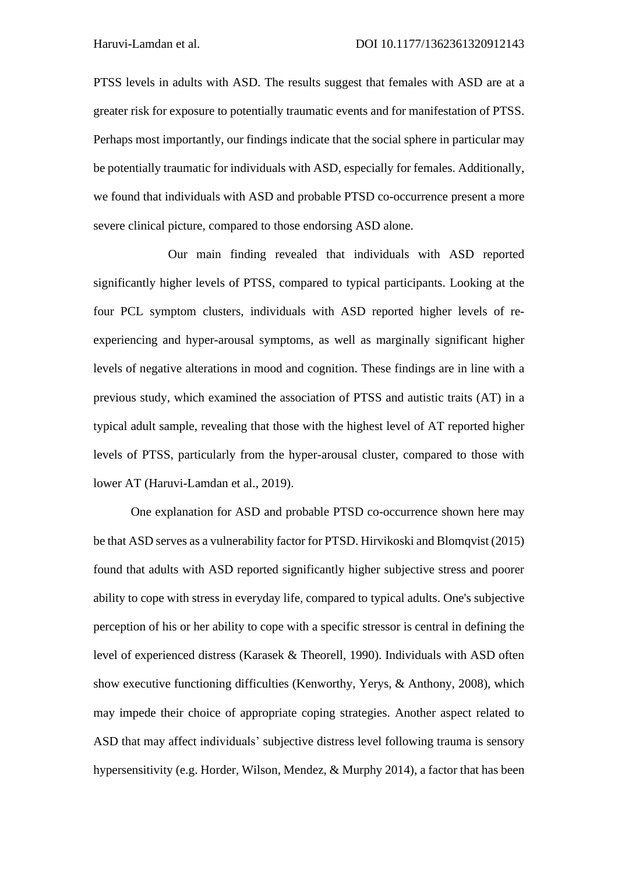PTSS levels in adults with ASD. The results suggest that females with ASD are at a greater risk for exposure to potentially traumatic events and for manifestation of PTSS. Perhaps most importantly, our findings indicate that the social sphere in particular may be potentially traumatic for individuals with ASD, especially for females. Additionally, we found that individuals with ASD and probable PTSD co-occurrence present a more severe clinical picture, compared to those endorsing ASD alone.

Our main finding revealed that individuals with ASD reported significantly higher levels of PTSS, compared to typical participants. Looking at the four PCL symptom clusters, individuals with ASD reported higher levels of reexperiencing and hyper-arousal symptoms, as well as marginally significant higher levels of negative alterations in mood and cognition. These findings are in line with a previous study, which examined the association of PTSS and autistic traits (AT) in a typical adult sample, revealing that those with the highest level of AT reported higher levels of PTSS, particularly from the hyper-arousal cluster, compared to those with lower AT (Haruvi-Lamdan et al., 2019).

One explanation for ASD and probable PTSD co-occurrence shown here may be that ASD serves as a vulnerability factor for PTSD. Hirvikoski and Blomqvist (2015) found that adults with ASD reported significantly higher subjective stress and poorer ability to cope with stress in everyday life, compared to typical adults. One's subjective perception of his or her ability to cope with a specific stressor is central in defining the level of experienced distress (Karasek & Theorell, 1990). Individuals with ASD often show executive functioning difficulties (Kenworthy, Yerys, & Anthony, 2008), which may impede their choice of appropriate coping strategies. Another aspect related to ASD that may affect individuals' subjective distress level following trauma is sensory hypersensitivity (e.g. Horder, Wilson, Mendez, & Murphy 2014), a factor that has been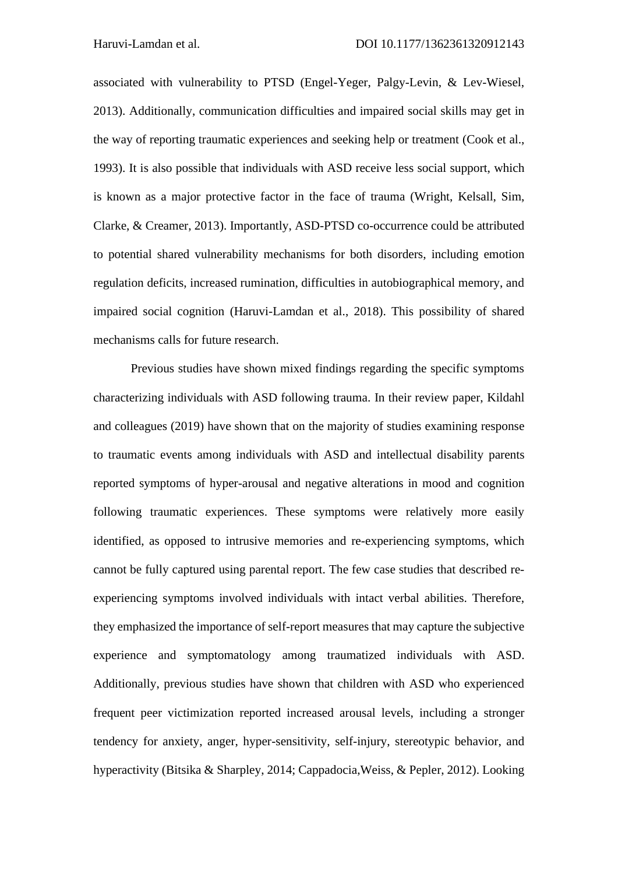associated with vulnerability to PTSD (Engel-Yeger, Palgy-Levin, & Lev-Wiesel, 2013). Additionally, communication difficulties and impaired social skills may get in the way of reporting traumatic experiences and seeking help or treatment (Cook et al., 1993). It is also possible that individuals with ASD receive less social support, which is known as a major protective factor in the face of trauma (Wright, Kelsall, Sim, Clarke, & Creamer, 2013). Importantly, ASD-PTSD co-occurrence could be attributed to potential shared vulnerability mechanisms for both disorders, including emotion regulation deficits, increased rumination, difficulties in autobiographical memory, and impaired social cognition (Haruvi-Lamdan et al., 2018). This possibility of shared mechanisms calls for future research.

Previous studies have shown mixed findings regarding the specific symptoms characterizing individuals with ASD following trauma. In their review paper, Kildahl and colleagues (2019) have shown that on the majority of studies examining response to traumatic events among individuals with ASD and intellectual disability parents reported symptoms of hyper-arousal and negative alterations in mood and cognition following traumatic experiences. These symptoms were relatively more easily identified, as opposed to intrusive memories and re-experiencing symptoms, which cannot be fully captured using parental report. The few case studies that described reexperiencing symptoms involved individuals with intact verbal abilities. Therefore, they emphasized the importance of self-report measures that may capture the subjective experience and symptomatology among traumatized individuals with ASD. Additionally, previous studies have shown that children with ASD who experienced frequent peer victimization reported increased arousal levels, including a stronger tendency for anxiety, anger, hyper-sensitivity, self-injury, stereotypic behavior, and hyperactivity (Bitsika & Sharpley, 2014; Cappadocia,Weiss, & Pepler, 2012). Looking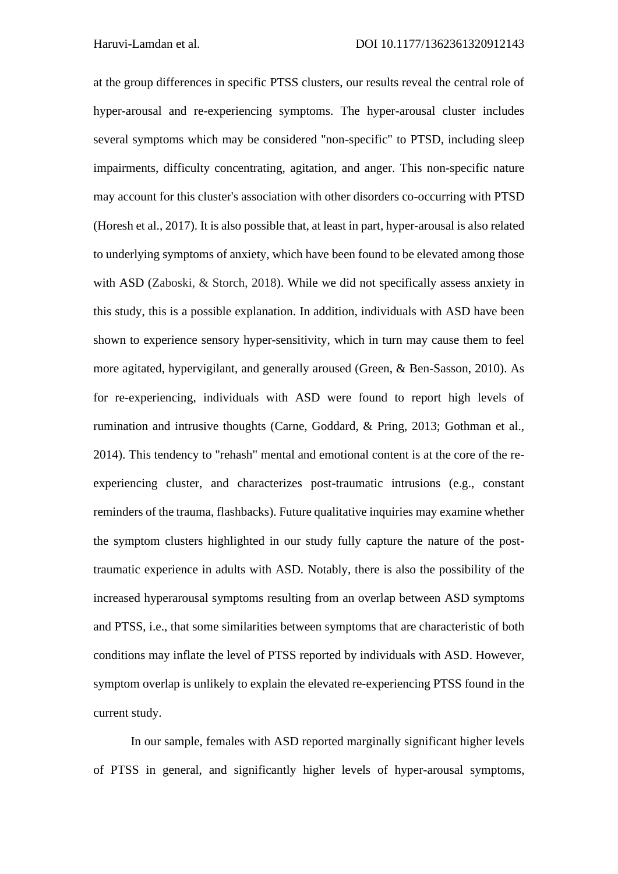at the group differences in specific PTSS clusters, our results reveal the central role of hyper-arousal and re-experiencing symptoms. The hyper-arousal cluster includes several symptoms which may be considered "non-specific" to PTSD, including sleep impairments, difficulty concentrating, agitation, and anger. This non-specific nature may account for this cluster's association with other disorders co-occurring with PTSD (Horesh et al., 2017). It is also possible that, at least in part, hyper-arousal is also related to underlying symptoms of anxiety, which have been found to be elevated among those with ASD (Zaboski, & Storch, 2018). While we did not specifically assess anxiety in this study, this is a possible explanation. In addition, individuals with ASD have been shown to experience sensory hyper-sensitivity, which in turn may cause them to feel more agitated, hypervigilant, and generally aroused (Green, & Ben-Sasson, 2010). As for re-experiencing, individuals with ASD were found to report high levels of rumination and intrusive thoughts (Carne, Goddard, & Pring, 2013; Gothman et al., 2014). This tendency to "rehash" mental and emotional content is at the core of the reexperiencing cluster, and characterizes post-traumatic intrusions (e.g., constant reminders of the trauma, flashbacks). Future qualitative inquiries may examine whether the symptom clusters highlighted in our study fully capture the nature of the posttraumatic experience in adults with ASD. Notably, there is also the possibility of the increased hyperarousal symptoms resulting from an overlap between ASD symptoms and PTSS, i.e., that some similarities between symptoms that are characteristic of both conditions may inflate the level of PTSS reported by individuals with ASD. However, symptom overlap is unlikely to explain the elevated re-experiencing PTSS found in the current study.

In our sample, females with ASD reported marginally significant higher levels of PTSS in general, and significantly higher levels of hyper-arousal symptoms,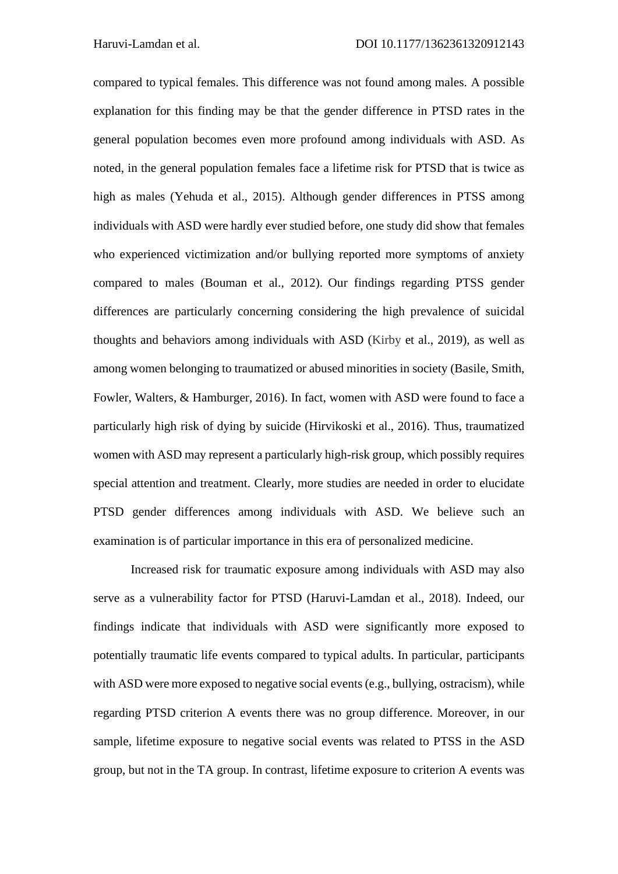compared to typical females. This difference was not found among males. A possible explanation for this finding may be that the gender difference in PTSD rates in the general population becomes even more profound among individuals with ASD. As noted, in the general population females face a lifetime risk for PTSD that is twice as high as males (Yehuda et al., 2015). Although gender differences in PTSS among individuals with ASD were hardly ever studied before, one study did show that females who experienced victimization and/or bullying reported more symptoms of anxiety compared to males (Bouman et al., 2012). Our findings regarding PTSS gender differences are particularly concerning considering the high prevalence of suicidal thoughts and behaviors among individuals with ASD (Kirby et al., 2019), as well as among women belonging to traumatized or abused minorities in society (Basile, Smith, Fowler, Walters, & Hamburger, 2016). In fact, women with ASD were found to face a particularly high risk of dying by suicide (Hirvikoski et al., 2016). Thus, traumatized women with ASD may represent a particularly high-risk group, which possibly requires special attention and treatment. Clearly, more studies are needed in order to elucidate PTSD gender differences among individuals with ASD. We believe such an examination is of particular importance in this era of personalized medicine.

Increased risk for traumatic exposure among individuals with ASD may also serve as a vulnerability factor for PTSD (Haruvi-Lamdan et al., 2018). Indeed, our findings indicate that individuals with ASD were significantly more exposed to potentially traumatic life events compared to typical adults. In particular, participants with ASD were more exposed to negative social events (e.g., bullying, ostracism), while regarding PTSD criterion A events there was no group difference. Moreover, in our sample, lifetime exposure to negative social events was related to PTSS in the ASD group, but not in the TA group. In contrast, lifetime exposure to criterion A events was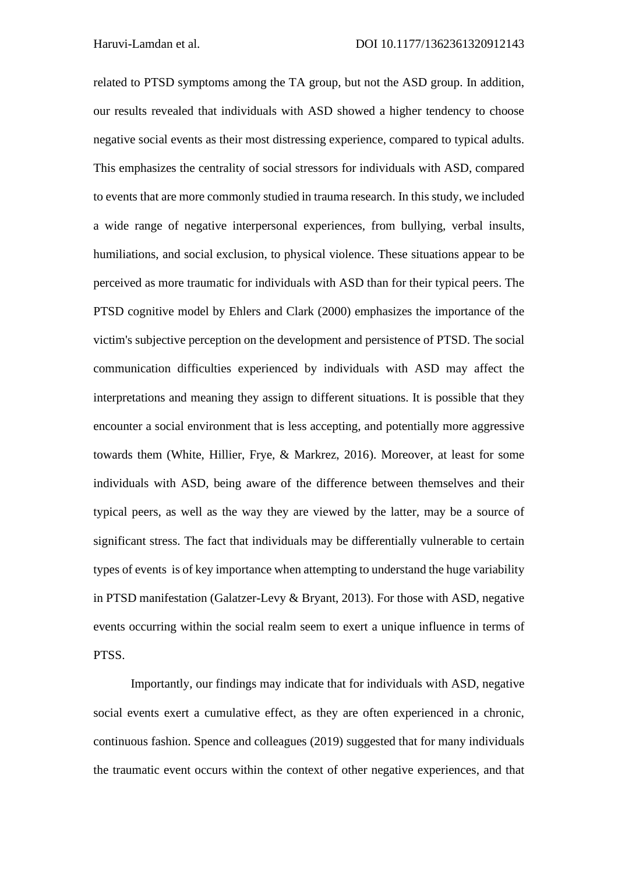related to PTSD symptoms among the TA group, but not the ASD group. In addition, our results revealed that individuals with ASD showed a higher tendency to choose negative social events as their most distressing experience, compared to typical adults. This emphasizes the centrality of social stressors for individuals with ASD, compared to events that are more commonly studied in trauma research. In this study, we included a wide range of negative interpersonal experiences, from bullying, verbal insults, humiliations, and social exclusion, to physical violence. These situations appear to be perceived as more traumatic for individuals with ASD than for their typical peers. The PTSD cognitive model by Ehlers and Clark (2000) emphasizes the importance of the victim's subjective perception on the development and persistence of PTSD. The social communication difficulties experienced by individuals with ASD may affect the interpretations and meaning they assign to different situations. It is possible that they encounter a social environment that is less accepting, and potentially more aggressive towards them (White, Hillier, Frye, & Markrez, 2016). Moreover, at least for some individuals with ASD, being aware of the difference between themselves and their typical peers, as well as the way they are viewed by the latter, may be a source of significant stress. The fact that individuals may be differentially vulnerable to certain types of events is of key importance when attempting to understand the huge variability in PTSD manifestation (Galatzer-Levy & Bryant, 2013). For those with ASD, negative events occurring within the social realm seem to exert a unique influence in terms of PTSS.

Importantly, our findings may indicate that for individuals with ASD, negative social events exert a cumulative effect, as they are often experienced in a chronic, continuous fashion. Spence and colleagues (2019) suggested that for many individuals the traumatic event occurs within the context of other negative experiences, and that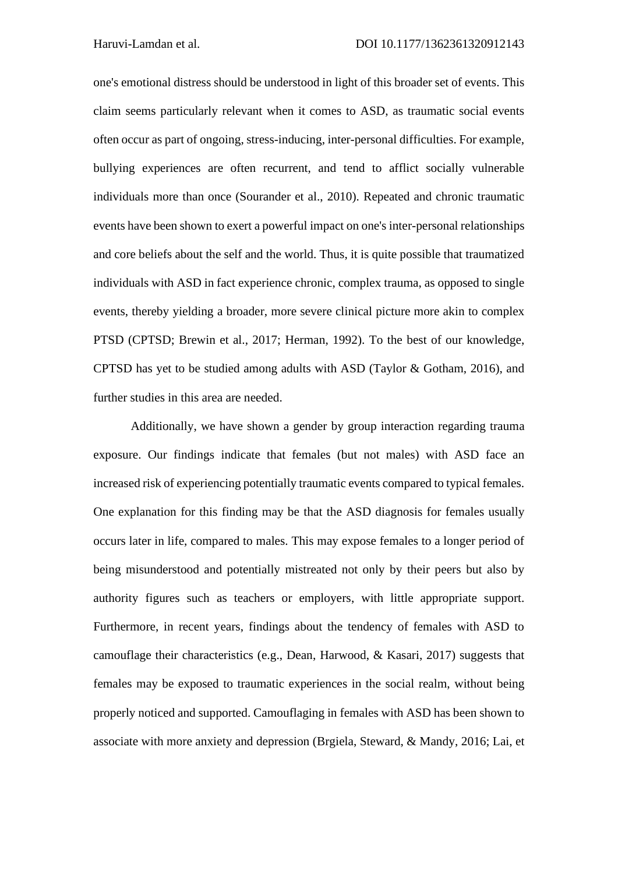one's emotional distress should be understood in light of this broader set of events. This claim seems particularly relevant when it comes to ASD, as traumatic social events often occur as part of ongoing, stress-inducing, inter-personal difficulties. For example, bullying experiences are often recurrent, and tend to afflict socially vulnerable individuals more than once (Sourander et al., 2010). Repeated and chronic traumatic events have been shown to exert a powerful impact on one's inter-personal relationships and core beliefs about the self and the world. Thus, it is quite possible that traumatized individuals with ASD in fact experience chronic, complex trauma, as opposed to single events, thereby yielding a broader, more severe clinical picture more akin to complex PTSD (CPTSD; Brewin et al., 2017; Herman, 1992). To the best of our knowledge, CPTSD has yet to be studied among adults with ASD (Taylor & Gotham, 2016), and further studies in this area are needed.

Additionally, we have shown a gender by group interaction regarding trauma exposure. Our findings indicate that females (but not males) with ASD face an increased risk of experiencing potentially traumatic events compared to typical females. One explanation for this finding may be that the ASD diagnosis for females usually occurs later in life, compared to males. This may expose females to a longer period of being misunderstood and potentially mistreated not only by their peers but also by authority figures such as teachers or employers, with little appropriate support. Furthermore, in recent years, findings about the tendency of females with ASD to camouflage their characteristics (e.g., Dean, Harwood, & Kasari, 2017) suggests that females may be exposed to traumatic experiences in the social realm, without being properly noticed and supported. Camouflaging in females with ASD has been shown to associate with more anxiety and depression (Brgiela, Steward, & Mandy, 2016; Lai, et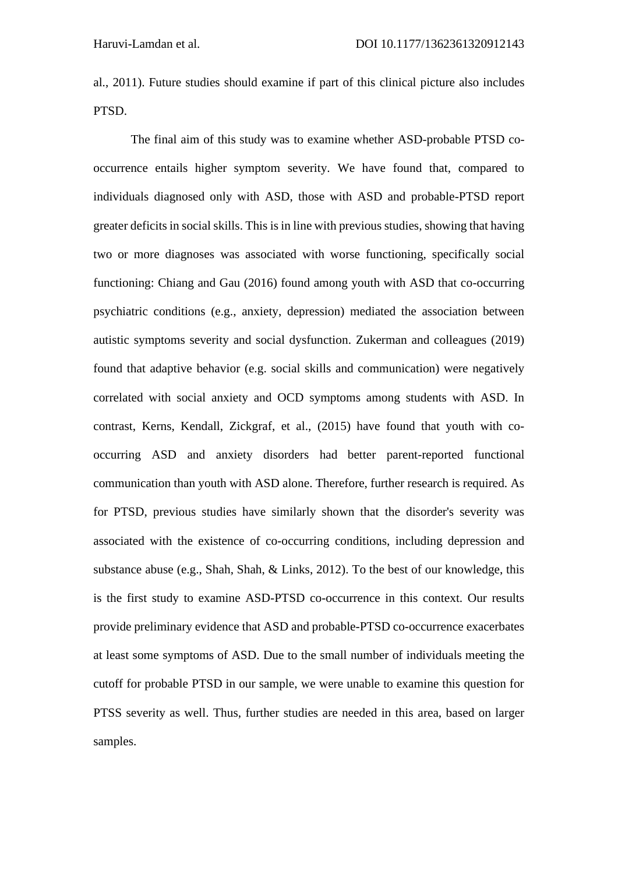al., 2011). Future studies should examine if part of this clinical picture also includes PTSD.

The final aim of this study was to examine whether ASD-probable PTSD cooccurrence entails higher symptom severity. We have found that, compared to individuals diagnosed only with ASD, those with ASD and probable-PTSD report greater deficits in social skills. This is in line with previous studies, showing that having two or more diagnoses was associated with worse functioning, specifically social functioning: Chiang and Gau (2016) found among youth with ASD that co-occurring psychiatric conditions (e.g., anxiety, depression) mediated the association between autistic symptoms severity and social dysfunction. Zukerman and colleagues (2019) found that adaptive behavior (e.g. social skills and communication) were negatively correlated with social anxiety and OCD symptoms among students with ASD. In contrast, Kerns, Kendall, Zickgraf, et al., (2015) have found that youth with cooccurring ASD and anxiety disorders had better parent-reported functional communication than youth with ASD alone. Therefore, further research is required. As for PTSD, previous studies have similarly shown that the disorder's severity was associated with the existence of co-occurring conditions, including depression and substance abuse (e.g., Shah, Shah, & Links, 2012). To the best of our knowledge, this is the first study to examine ASD-PTSD co-occurrence in this context. Our results provide preliminary evidence that ASD and probable-PTSD co-occurrence exacerbates at least some symptoms of ASD. Due to the small number of individuals meeting the cutoff for probable PTSD in our sample, we were unable to examine this question for PTSS severity as well. Thus, further studies are needed in this area, based on larger samples.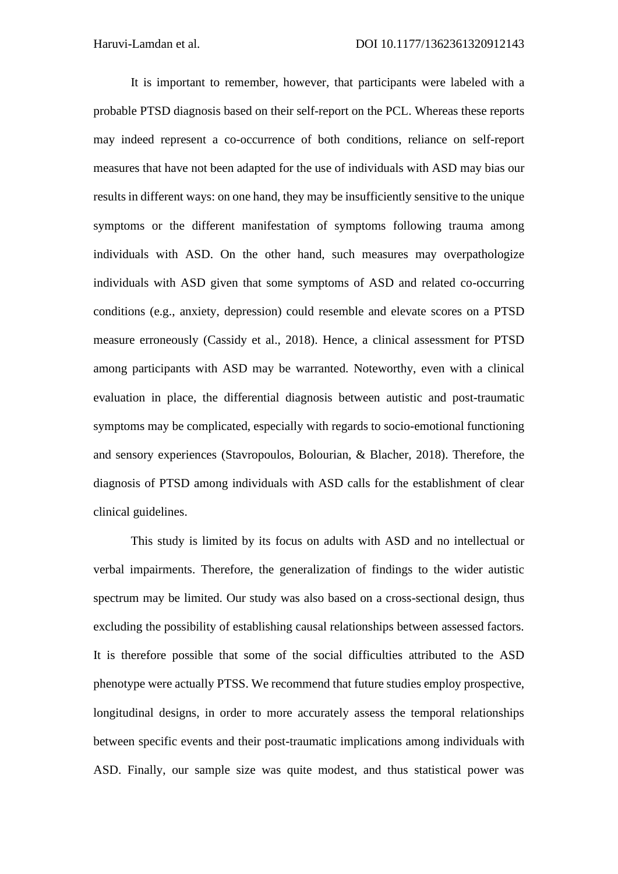It is important to remember, however, that participants were labeled with a probable PTSD diagnosis based on their self-report on the PCL. Whereas these reports may indeed represent a co-occurrence of both conditions, reliance on self-report measures that have not been adapted for the use of individuals with ASD may bias our results in different ways: on one hand, they may be insufficiently sensitive to the unique symptoms or the different manifestation of symptoms following trauma among individuals with ASD. On the other hand, such measures may overpathologize individuals with ASD given that some symptoms of ASD and related co-occurring conditions (e.g., anxiety, depression) could resemble and elevate scores on a PTSD measure erroneously (Cassidy et al., 2018). Hence, a clinical assessment for PTSD among participants with ASD may be warranted. Noteworthy, even with a clinical evaluation in place, the differential diagnosis between autistic and post-traumatic symptoms may be complicated, especially with regards to socio-emotional functioning and sensory experiences (Stavropoulos, Bolourian, & Blacher, 2018). Therefore, the diagnosis of PTSD among individuals with ASD calls for the establishment of clear clinical guidelines.

This study is limited by its focus on adults with ASD and no intellectual or verbal impairments. Therefore, the generalization of findings to the wider autistic spectrum may be limited. Our study was also based on a cross-sectional design, thus excluding the possibility of establishing causal relationships between assessed factors. It is therefore possible that some of the social difficulties attributed to the ASD phenotype were actually PTSS. We recommend that future studies employ prospective, longitudinal designs, in order to more accurately assess the temporal relationships between specific events and their post-traumatic implications among individuals with ASD. Finally, our sample size was quite modest, and thus statistical power was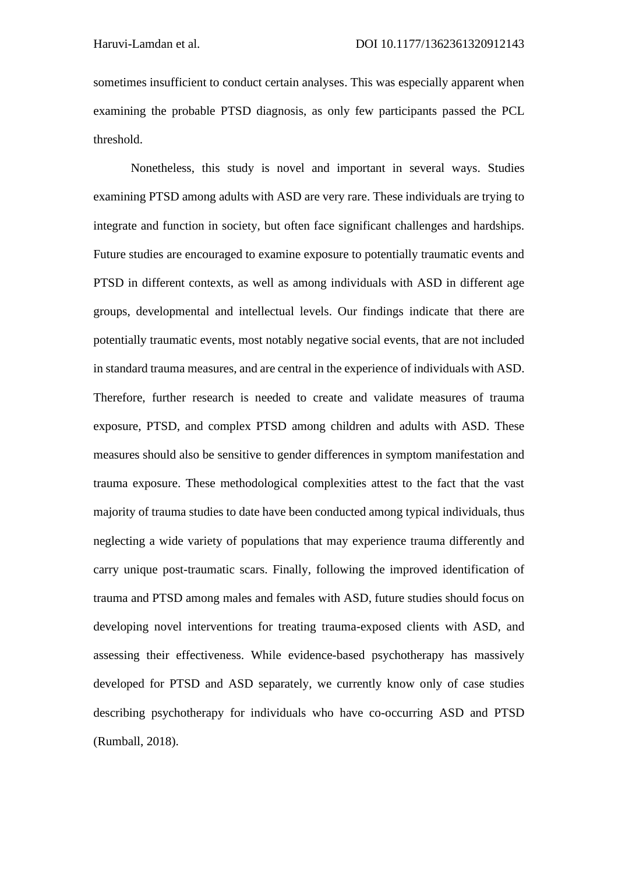sometimes insufficient to conduct certain analyses. This was especially apparent when examining the probable PTSD diagnosis, as only few participants passed the PCL threshold.

Nonetheless, this study is novel and important in several ways. Studies examining PTSD among adults with ASD are very rare. These individuals are trying to integrate and function in society, but often face significant challenges and hardships. Future studies are encouraged to examine exposure to potentially traumatic events and PTSD in different contexts, as well as among individuals with ASD in different age groups, developmental and intellectual levels. Our findings indicate that there are potentially traumatic events, most notably negative social events, that are not included in standard trauma measures, and are central in the experience of individuals with ASD. Therefore, further research is needed to create and validate measures of trauma exposure, PTSD, and complex PTSD among children and adults with ASD. These measures should also be sensitive to gender differences in symptom manifestation and trauma exposure. These methodological complexities attest to the fact that the vast majority of trauma studies to date have been conducted among typical individuals, thus neglecting a wide variety of populations that may experience trauma differently and carry unique post-traumatic scars. Finally, following the improved identification of trauma and PTSD among males and females with ASD, future studies should focus on developing novel interventions for treating trauma-exposed clients with ASD, and assessing their effectiveness. While evidence-based psychotherapy has massively developed for PTSD and ASD separately, we currently know only of case studies describing psychotherapy for individuals who have co-occurring ASD and PTSD (Rumball, 2018).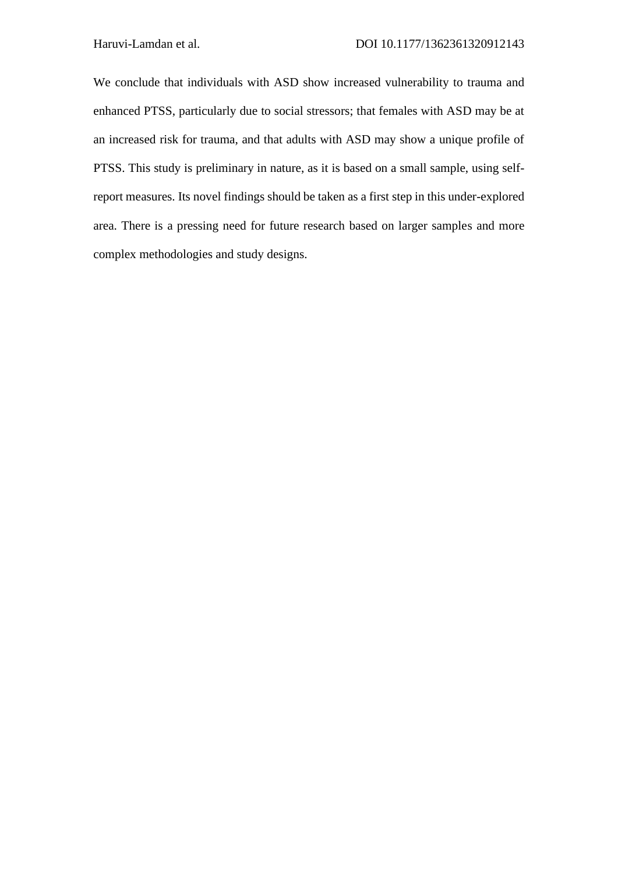We conclude that individuals with ASD show increased vulnerability to trauma and enhanced PTSS, particularly due to social stressors; that females with ASD may be at an increased risk for trauma, and that adults with ASD may show a unique profile of PTSS. This study is preliminary in nature, as it is based on a small sample, using selfreport measures. Its novel findings should be taken as a first step in this under-explored area. There is a pressing need for future research based on larger samples and more complex methodologies and study designs.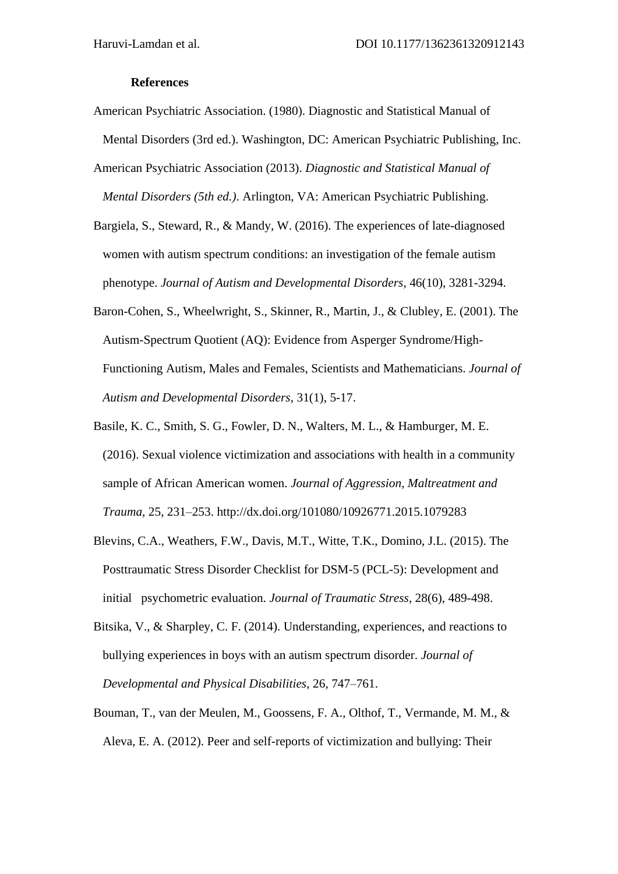## **References**

- American Psychiatric Association. (1980). Diagnostic and Statistical Manual of Mental Disorders (3rd ed.). Washington, DC: American Psychiatric Publishing, Inc.
- American Psychiatric Association (2013). *Diagnostic and Statistical Manual of*
- *Mental Disorders (5th ed.)*. Arlington, VA: American Psychiatric Publishing.
- Bargiela, S., Steward, R., & Mandy, W. (2016). The experiences of late-diagnosed women with autism spectrum conditions: an investigation of the female autism phenotype. *Journal of Autism and Developmental Disorders*, 46(10), 3281-3294.
- Baron-Cohen, S., Wheelwright, S., Skinner, R., Martin, J., & Clubley, E. (2001). The Autism-Spectrum Quotient (AQ): Evidence from Asperger Syndrome/High-Functioning Autism, Males and Females, Scientists and Mathematicians. *Journal of Autism and Developmental Disorders*, 31(1), 5-17.
- Basile, K. C., Smith, S. G., Fowler, D. N., Walters, M. L., & Hamburger, M. E. (2016). Sexual violence victimization and associations with health in a community sample of African American women. *Journal of Aggression, Maltreatment and Trauma*, 25, 231–253. http://dx.doi.org/101080/10926771.2015.1079283
- Blevins, C.A., Weathers, F.W., Davis, M.T., Witte, T.K., Domino, J.L. (2015). The Posttraumatic Stress Disorder Checklist for DSM-5 (PCL-5): Development and initial psychometric evaluation*. Journal of Traumatic Stress*, 28(6), 489-498.
- Bitsika, V., & Sharpley, C. F. (2014). Understanding, experiences, and reactions to bullying experiences in boys with an autism spectrum disorder. *Journal of Developmental and Physical Disabilities*, 26, 747–761.
- Bouman, T., van der Meulen, M., Goossens, F. A., Olthof, T., Vermande, M. M., & Aleva, E. A. (2012). Peer and self-reports of victimization and bullying: Their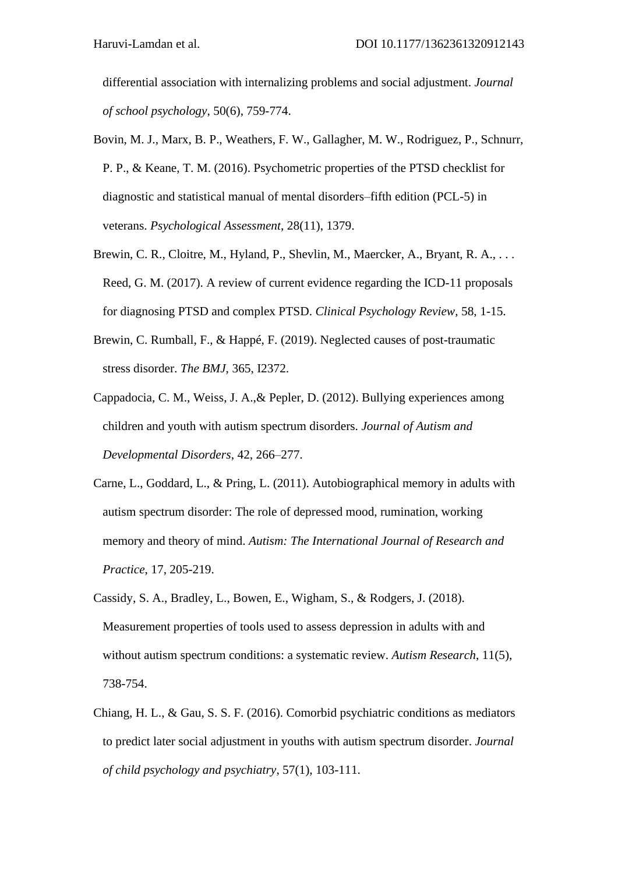differential association with internalizing problems and social adjustment. *Journal of school psychology*, 50(6), 759-774.

- Bovin, M. J., Marx, B. P., Weathers, F. W., Gallagher, M. W., Rodriguez, P., Schnurr, P. P., & Keane, T. M. (2016). Psychometric properties of the PTSD checklist for diagnostic and statistical manual of mental disorders–fifth edition (PCL-5) in veterans. *Psychological Assessment*, 28(11), 1379.
- Brewin, C. R., Cloitre, M., Hyland, P., Shevlin, M., Maercker, A., Bryant, R. A., ... Reed, G. M. (2017). A review of current evidence regarding the ICD-11 proposals for diagnosing PTSD and complex PTSD. *Clinical Psychology Review*, 58, 1-15.
- Brewin, C. Rumball, F., & Happé, F. (2019). Neglected causes of post-traumatic stress disorder. *The BMJ*, 365, I2372.
- Cappadocia, C. M., Weiss, J. A.,& Pepler, D. (2012). Bullying experiences among children and youth with autism spectrum disorders. *Journal of Autism and Developmental Disorders*, 42, 266–277.
- Carne, L., Goddard, L., & Pring, L. (2011). Autobiographical memory in adults with autism spectrum disorder: The role of depressed mood, rumination, working memory and theory of mind. *Autism: The International Journal of Research and Practice*, 17, 205-219.
- Cassidy, S. A., Bradley, L., Bowen, E., Wigham, S., & Rodgers, J. (2018). Measurement properties of tools used to assess depression in adults with and without autism spectrum conditions: a systematic review. *Autism Research*, 11(5), 738-754.
- Chiang, H. L., & Gau, S. S. F. (2016). Comorbid psychiatric conditions as mediators to predict later social adjustment in youths with autism spectrum disorder. *Journal of child psychology and psychiatry*, 57(1), 103-111.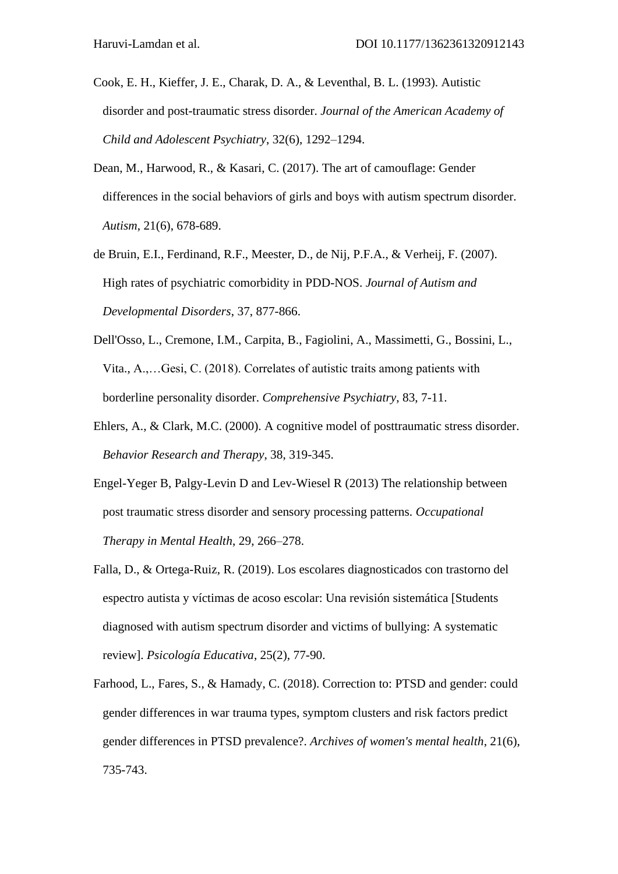- Cook, E. H., Kieffer, J. E., Charak, D. A., & Leventhal, B. L. (1993). Autistic disorder and post-traumatic stress disorder. *Journal of the American Academy of Child and Adolescent Psychiatry*, 32(6), 1292–1294.
- Dean, M., Harwood, R., & Kasari, C. (2017). The art of camouflage: Gender differences in the social behaviors of girls and boys with autism spectrum disorder. *Autism*, 21(6), 678-689.
- de Bruin, E.I., Ferdinand, R.F., Meester, D., de Nij, P.F.A., & Verheij, F. (2007). High rates of psychiatric comorbidity in PDD-NOS. *Journal of Autism and Developmental Disorders*, 37, 877-866.
- Dell'Osso, L., Cremone, I.M., Carpita, B., Fagiolini, A., Massimetti, G., Bossini, L., Vita., A.,…Gesi, C. (2018). Correlates of autistic traits among patients with borderline personality disorder. *Comprehensive Psychiatry*, 83, 7-11.
- Ehlers, A., & Clark, M.C. (2000). A cognitive model of posttraumatic stress disorder. *Behavior Research and Therapy*, 38, 319-345.
- Engel-Yeger B, Palgy-Levin D and Lev-Wiesel R (2013) The relationship between post traumatic stress disorder and sensory processing patterns. *Occupational Therapy in Mental Health*, 29, 266–278.
- Falla, D., & Ortega-Ruiz, R. (2019). Los escolares diagnosticados con trastorno del espectro autista y víctimas de acoso escolar: Una revisión sistemática [Students diagnosed with autism spectrum disorder and victims of bullying: A systematic review]. *Psicología Educativa*, 25(2), 77-90.
- Farhood, L., Fares, S., & Hamady, C. (2018). Correction to: PTSD and gender: could gender differences in war trauma types, symptom clusters and risk factors predict gender differences in PTSD prevalence?. *Archives of women's mental health*, 21(6), 735-743.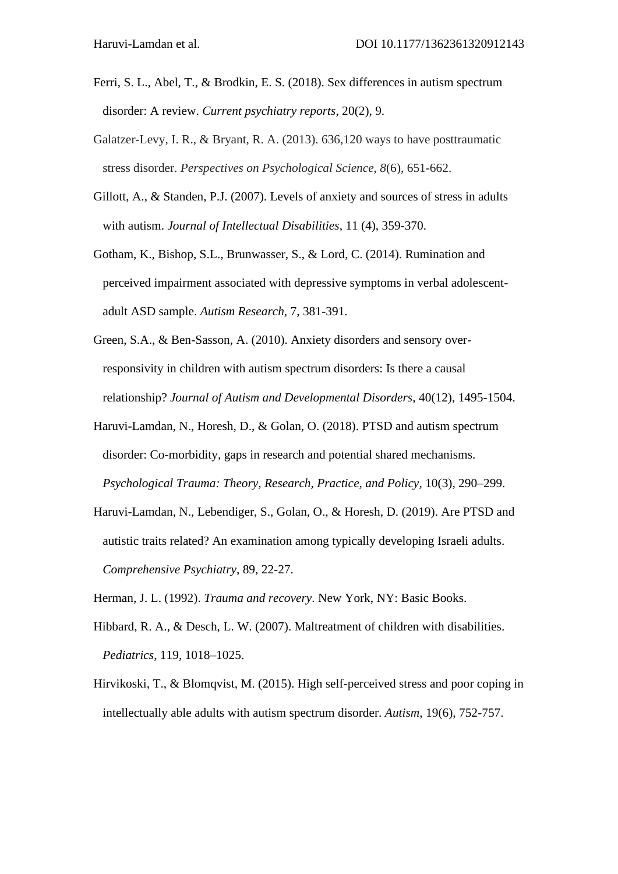- Ferri, S. L., Abel, T., & Brodkin, E. S. (2018). Sex differences in autism spectrum disorder: A review. *Current psychiatry reports*, 20(2), 9.
- Galatzer-Levy, I. R., & Bryant, R. A. (2013). 636,120 ways to have posttraumatic stress disorder. *Perspectives on Psychological Science*, *8*(6), 651-662.
- Gillott, A., & Standen, P.J. (2007). Levels of anxiety and sources of stress in adults with autism. *Journal of Intellectual Disabilities*, 11 (4), 359-370.
- Gotham, K., Bishop, S.L., Brunwasser, S., & Lord, C. (2014). Rumination and perceived impairment associated with depressive symptoms in verbal adolescentadult ASD sample. *Autism Research*, 7, 381-391.
- Green, S.A., & Ben-Sasson, A. (2010). Anxiety disorders and sensory overresponsivity in children with autism spectrum disorders: Is there a causal relationship? *Journal of Autism and Developmental Disorders*, 40(12), 1495-1504.
- Haruvi-Lamdan, N., Horesh, D., & Golan, O. (2018). PTSD and autism spectrum disorder: Co-morbidity, gaps in research and potential shared mechanisms. *Psychological Trauma: Theory, Research, Practice, and Policy*, 10(3), 290–299.
- Haruvi-Lamdan, N., Lebendiger, S., Golan, O., & Horesh, D. (2019). Are PTSD and autistic traits related? An examination among typically developing Israeli adults. *Comprehensive Psychiatry*, 89, 22-27.
- Herman, J. L. (1992). *Trauma and recovery*. New York, NY: Basic Books.
- Hibbard, R. A., & Desch, L. W. (2007). Maltreatment of children with disabilities. *Pediatrics*, 119, 1018–1025.
- Hirvikoski, T., & Blomqvist, M. (2015). High self-perceived stress and poor coping in intellectually able adults with autism spectrum disorder. *Autism*, 19(6), 752-757.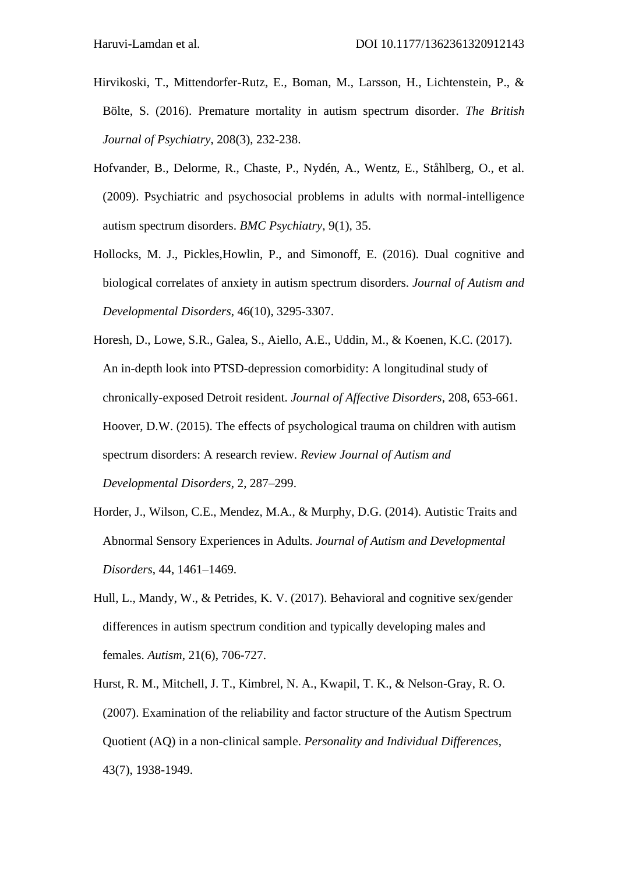- Hirvikoski, T., Mittendorfer-Rutz, E., Boman, M., Larsson, H., Lichtenstein, P., & Bölte, S. (2016). Premature mortality in autism spectrum disorder. *The British Journal of Psychiatry*, 208(3), 232-238.
- Hofvander, B., Delorme, R., Chaste, P., Nydén, A., Wentz, E., Ståhlberg, O., et al. (2009). Psychiatric and psychosocial problems in adults with normal-intelligence autism spectrum disorders. *BMC Psychiatry*, 9(1), 35.
- Hollocks, M. J., Pickles,Howlin, P., and Simonoff, E. (2016). Dual cognitive and biological correlates of anxiety in autism spectrum disorders. *Journal of Autism and Developmental Disorders*, 46(10), 3295-3307.
- Horesh, D., Lowe, S.R., Galea, S., Aiello, A.E., Uddin, M., & Koenen, K.C. (2017). An in-depth look into PTSD-depression comorbidity: A longitudinal study of chronically-exposed Detroit resident. *Journal of Affective Disorders*, 208, 653-661. Hoover, D.W. (2015). The effects of psychological trauma on children with autism spectrum disorders: A research review. *Review Journal of Autism and Developmental Disorders*, 2, 287–299.
- Horder, J., Wilson, C.E., Mendez, M.A., & Murphy, D.G. (2014). Autistic Traits and Abnormal Sensory Experiences in Adults. *Journal of Autism and Developmental Disorders*, 44, 1461–1469.
- Hull, L., Mandy, W., & Petrides, K. V. (2017). Behavioral and cognitive sex/gender differences in autism spectrum condition and typically developing males and females. *Autism*, 21(6), 706-727.
- Hurst, R. M., Mitchell, J. T., Kimbrel, N. A., Kwapil, T. K., & Nelson-Gray, R. O. (2007). Examination of the reliability and factor structure of the Autism Spectrum Quotient (AQ) in a non-clinical sample. *Personality and Individual Differences*, 43(7), 1938-1949.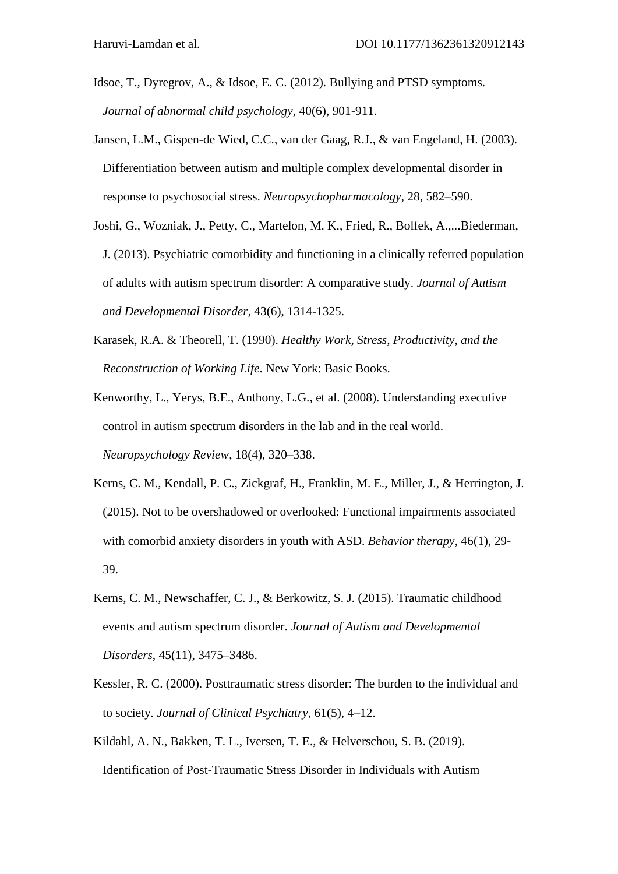- Idsoe, T., Dyregrov, A., & Idsoe, E. C. (2012). Bullying and PTSD symptoms. *Journal of abnormal child psychology*, 40(6), 901-911.
- Jansen, L.M., Gispen-de Wied, C.C., van der Gaag, R.J., & van Engeland, H. (2003). Differentiation between autism and multiple complex developmental disorder in response to psychosocial stress. *Neuropsychopharmacology*, 28, 582–590.
- Joshi, G., Wozniak, J., Petty, C., Martelon, M. K., Fried, R., Bolfek, A.,...Biederman, J. (2013). Psychiatric comorbidity and functioning in a clinically referred population of adults with autism spectrum disorder: A comparative study. *Journal of Autism and Developmental Disorder*, 43(6), 1314-1325.
- Karasek, R.A. & Theorell, T. (1990). *Healthy Work, Stress, Productivity, and the Reconstruction of Working Life*. New York: Basic Books.
- Kenworthy, L., Yerys, B.E., Anthony, L.G., et al. (2008). Understanding executive control in autism spectrum disorders in the lab and in the real world. *Neuropsychology Review*, 18(4), 320–338.
- Kerns, C. M., Kendall, P. C., Zickgraf, H., Franklin, M. E., Miller, J., & Herrington, J. (2015). Not to be overshadowed or overlooked: Functional impairments associated with comorbid anxiety disorders in youth with ASD. *Behavior therapy*, 46(1), 29- 39.
- Kerns, C. M., Newschaffer, C. J., & Berkowitz, S. J. (2015). Traumatic childhood events and autism spectrum disorder. *Journal of Autism and Developmental Disorders*, 45(11), 3475–3486.
- Kessler, R. C. (2000). Posttraumatic stress disorder: The burden to the individual and to society*. Journal of Clinical Psychiatry*, 61(5), 4–12.
- Kildahl, A. N., Bakken, T. L., Iversen, T. E., & Helverschou, S. B. (2019). Identification of Post-Traumatic Stress Disorder in Individuals with Autism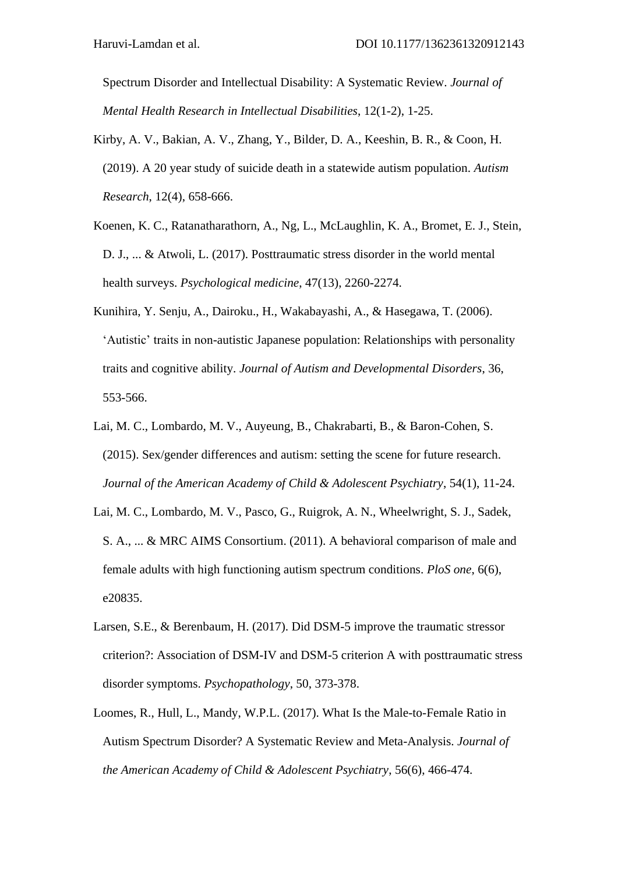Spectrum Disorder and Intellectual Disability: A Systematic Review. *Journal of Mental Health Research in Intellectual Disabilities*, 12(1-2), 1-25.

- Kirby, A. V., Bakian, A. V., Zhang, Y., Bilder, D. A., Keeshin, B. R., & Coon, H. (2019). A 20 year study of suicide death in a statewide autism population. *Autism Research*, 12(4), 658-666.
- Koenen, K. C., Ratanatharathorn, A., Ng, L., McLaughlin, K. A., Bromet, E. J., Stein, D. J., ... & Atwoli, L. (2017). Posttraumatic stress disorder in the world mental health surveys. *Psychological medicine*, 47(13), 2260-2274.
- Kunihira, Y. Senju, A., Dairoku., H., Wakabayashi, A., & Hasegawa, T. (2006). 'Autistic' traits in non-autistic Japanese population: Relationships with personality traits and cognitive ability. *Journal of Autism and Developmental Disorders*, 36, 553-566.
- Lai, M. C., Lombardo, M. V., Auyeung, B., Chakrabarti, B., & Baron-Cohen, S. (2015). Sex/gender differences and autism: setting the scene for future research. *Journal of the American Academy of Child & Adolescent Psychiatry*, 54(1), 11-24.
- Lai, M. C., Lombardo, M. V., Pasco, G., Ruigrok, A. N., Wheelwright, S. J., Sadek, S. A., ... & MRC AIMS Consortium. (2011). A behavioral comparison of male and female adults with high functioning autism spectrum conditions. *PloS one*, 6(6), e20835.
- Larsen, S.E., & Berenbaum, H. (2017). Did DSM-5 improve the traumatic stressor criterion?: Association of DSM-IV and DSM-5 criterion A with posttraumatic stress disorder symptoms. *Psychopathology*, 50, 373-378.
- Loomes, R., Hull, L., Mandy, W.P.L. (2017). What Is the Male-to-Female Ratio in Autism Spectrum Disorder? A Systematic Review and Meta-Analysis. *Journal of the American Academy of Child & Adolescent Psychiatry*, 56(6), 466-474.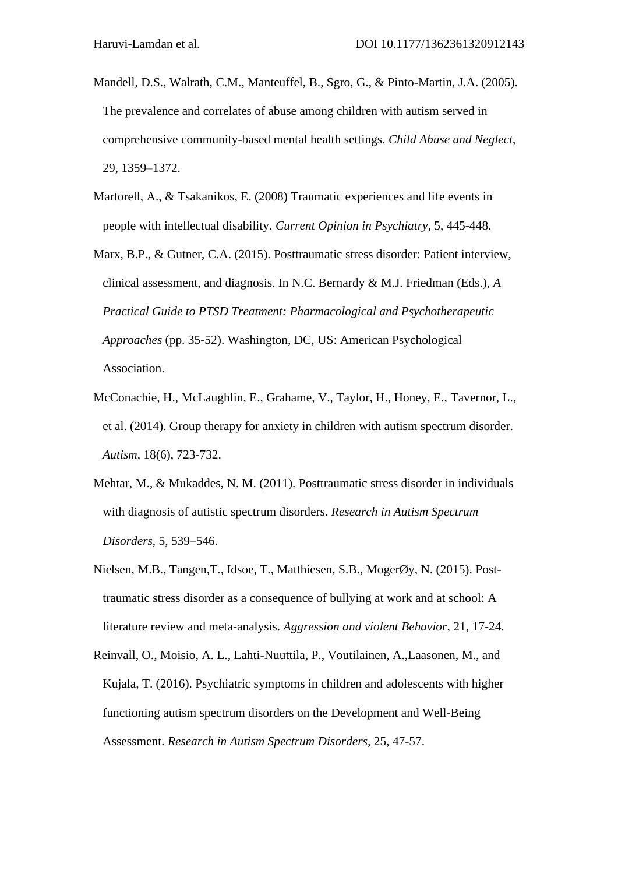- Mandell, D.S., Walrath, C.M., Manteuffel, B., Sgro, G., & Pinto-Martin, J.A. (2005). The prevalence and correlates of abuse among children with autism served in comprehensive community-based mental health settings. *Child Abuse and Neglect*, 29, 1359–1372.
- Martorell, A., & Tsakanikos, E. (2008) Traumatic experiences and life events in people with intellectual disability. *Current Opinion in Psychiatry*, 5, 445-448.
- Marx, B.P., & Gutner, C.A. (2015). Posttraumatic stress disorder: Patient interview, clinical assessment, and diagnosis. In N.C. Bernardy & M.J. Friedman (Eds.), *A Practical Guide to PTSD Treatment: Pharmacological and Psychotherapeutic Approaches* (pp. 35-52). Washington, DC, US: American Psychological Association.
- McConachie, H., McLaughlin, E., Grahame, V., Taylor, H., Honey, E., Tavernor, L., et al. (2014). Group therapy for anxiety in children with autism spectrum disorder. *Autism*, 18(6), 723-732.
- Mehtar, M., & Mukaddes, N. M. (2011). Posttraumatic stress disorder in individuals with diagnosis of autistic spectrum disorders. *Research in Autism Spectrum Disorders*, 5, 539–546.
- Nielsen, M.B., Tangen,T., Idsoe, T., Matthiesen, S.B., MogerØy, N. (2015). Posttraumatic stress disorder as a consequence of bullying at work and at school: A literature review and meta-analysis. *Aggression and violent Behavior*, 21, 17-24.
- Reinvall, O., Moisio, A. L., Lahti-Nuuttila, P., Voutilainen, A.,Laasonen, M., and Kujala, T. (2016). Psychiatric symptoms in children and adolescents with higher functioning autism spectrum disorders on the Development and Well-Being Assessment. *Research in Autism Spectrum Disorders*, 25, 47-57.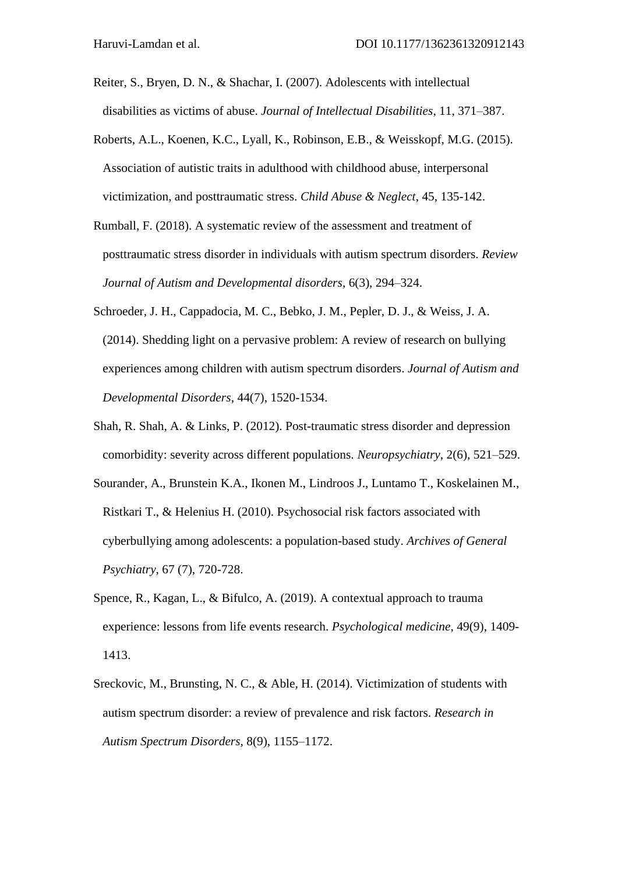- Reiter, S., Bryen, D. N., & Shachar, I. (2007). Adolescents with intellectual disabilities as victims of abuse. *Journal of Intellectual Disabilities*, 11, 371–387.
- Roberts, A.L., Koenen, K.C., Lyall, K., Robinson, E.B., & Weisskopf, M.G. (2015). Association of autistic traits in adulthood with childhood abuse, interpersonal victimization, and posttraumatic stress. *Child Abuse & Neglect*, 45, 135-142.
- Rumball, F. (2018). A systematic review of the assessment and treatment of posttraumatic stress disorder in individuals with autism spectrum disorders. *Review Journal of Autism and Developmental disorders*, 6(3), 294–324.
- Schroeder, J. H., Cappadocia, M. C., Bebko, J. M., Pepler, D. J., & Weiss, J. A. (2014). Shedding light on a pervasive problem: A review of research on bullying experiences among children with autism spectrum disorders. *Journal of Autism and Developmental Disorders*, 44(7), 1520-1534.
- Shah, R. Shah, A. & Links, P. (2012). Post-traumatic stress disorder and depression comorbidity: severity across different populations. *Neuropsychiatry*, 2(6), 521–529.
- Sourander, A., Brunstein K.A., Ikonen M., Lindroos J., Luntamo T., Koskelainen M., Ristkari T., & Helenius H. (2010). Psychosocial risk factors associated with cyberbullying among adolescents: a population-based study. *Archives of General Psychiatry*, 67 (7), 720-728.
- Spence, R., Kagan, L., & Bifulco, A. (2019). A contextual approach to trauma experience: lessons from life events research. *Psychological medicine*, 49(9), 1409- 1413.
- Sreckovic, M., Brunsting, N. C., & Able, H. (2014). Victimization of students with autism spectrum disorder: a review of prevalence and risk factors. *Research in Autism Spectrum Disorders*, 8(9), 1155–1172.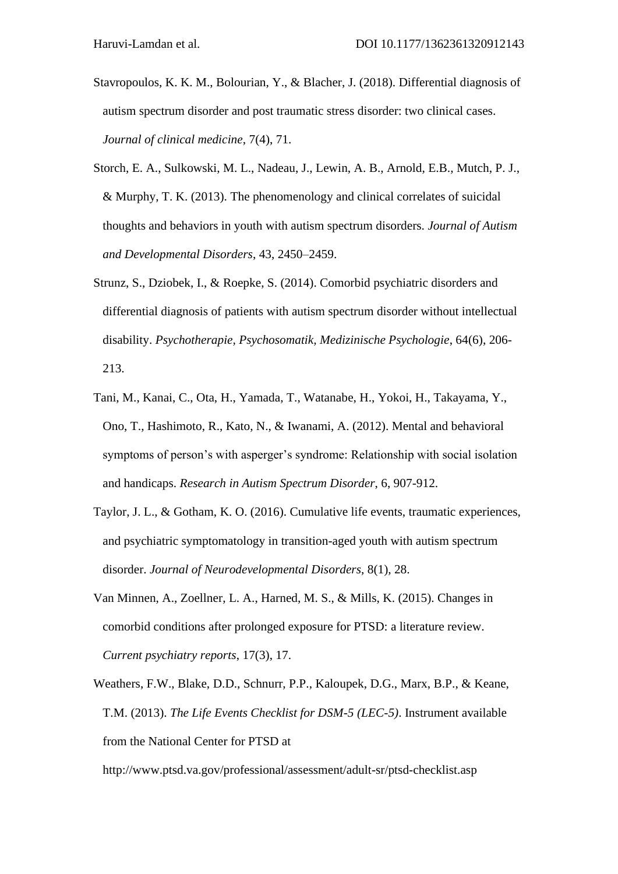- Stavropoulos, K. K. M., Bolourian, Y., & Blacher, J. (2018). Differential diagnosis of autism spectrum disorder and post traumatic stress disorder: two clinical cases. *Journal of clinical medicine*, 7(4), 71.
- Storch, E. A., Sulkowski, M. L., Nadeau, J., Lewin, A. B., Arnold, E.B., Mutch, P. J., & Murphy, T. K. (2013). The phenomenology and clinical correlates of suicidal thoughts and behaviors in youth with autism spectrum disorders. *Journal of Autism and Developmental Disorders*, 43, 2450–2459.
- Strunz, S., Dziobek, I., & Roepke, S. (2014). Comorbid psychiatric disorders and differential diagnosis of patients with autism spectrum disorder without intellectual disability. *Psychotherapie, Psychosomatik, Medizinische Psychologie*, 64(6), 206- 213.
- Tani, M., Kanai, C., Ota, H., Yamada, T., Watanabe, H., Yokoi, H., Takayama, Y., Ono, T., Hashimoto, R., Kato, N., & Iwanami, A. (2012). Mental and behavioral symptoms of person's with asperger's syndrome: Relationship with social isolation and handicaps. *Research in Autism Spectrum Disorder*, 6, 907-912.
- Taylor, J. L., & Gotham, K. O. (2016). Cumulative life events, traumatic experiences, and psychiatric symptomatology in transition-aged youth with autism spectrum disorder. *Journal of Neurodevelopmental Disorders*, 8(1), 28.
- Van Minnen, A., Zoellner, L. A., Harned, M. S., & Mills, K. (2015). Changes in comorbid conditions after prolonged exposure for PTSD: a literature review. *Current psychiatry reports*, 17(3), 17.
- Weathers, F.W., Blake, D.D., Schnurr, P.P., Kaloupek, D.G., Marx, B.P., & Keane, T.M. (2013). *The Life Events Checklist for DSM-5 (LEC-5)*. Instrument available from the National Center for PTSD at

http://www.ptsd.va.gov/professional/assessment/adult-sr/ptsd-checklist.asp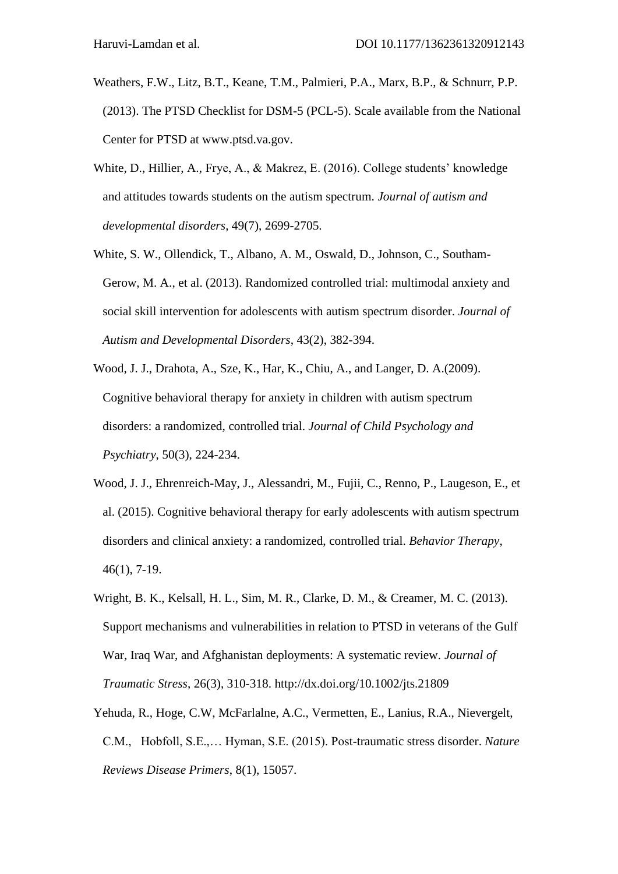- Weathers, F.W., Litz, B.T., Keane, T.M., Palmieri, P.A., Marx, B.P., & Schnurr, P.P. (2013). The PTSD Checklist for DSM-5 (PCL-5). Scale available from the National Center for PTSD at www.ptsd.va.gov.
- White, D., Hillier, A., Frye, A., & Makrez, E. (2016). College students' knowledge and attitudes towards students on the autism spectrum. *Journal of autism and developmental disorders*, 49(7), 2699-2705.
- White, S. W., Ollendick, T., Albano, A. M., Oswald, D., Johnson, C., Southam-Gerow, M. A., et al. (2013). Randomized controlled trial: multimodal anxiety and social skill intervention for adolescents with autism spectrum disorder. *Journal of Autism and Developmental Disorders*, 43(2), 382-394.
- Wood, J. J., Drahota, A., Sze, K., Har, K., Chiu, A., and Langer, D. A.(2009). Cognitive behavioral therapy for anxiety in children with autism spectrum disorders: a randomized, controlled trial. *Journal of Child Psychology and Psychiatry*, 50(3), 224-234.
- Wood, J. J., Ehrenreich-May, J., Alessandri, M., Fujii, C., Renno, P., Laugeson, E., et al. (2015). Cognitive behavioral therapy for early adolescents with autism spectrum disorders and clinical anxiety: a randomized, controlled trial. *Behavior Therapy*, 46(1), 7-19.
- Wright, B. K., Kelsall, H. L., Sim, M. R., Clarke, D. M., & Creamer, M. C. (2013). Support mechanisms and vulnerabilities in relation to PTSD in veterans of the Gulf War, Iraq War, and Afghanistan deployments: A systematic review. *Journal of Traumatic Stress*, 26(3), 310-318. http://dx.doi.org/10.1002/jts.21809
- Yehuda, R., Hoge, C.W, McFarlalne, A.C., Vermetten, E., Lanius, R.A., Nievergelt, C.M., Hobfoll, S.E.,… Hyman, S.E. (2015). Post-traumatic stress disorder. *Nature Reviews Disease Primers*, 8(1), 15057.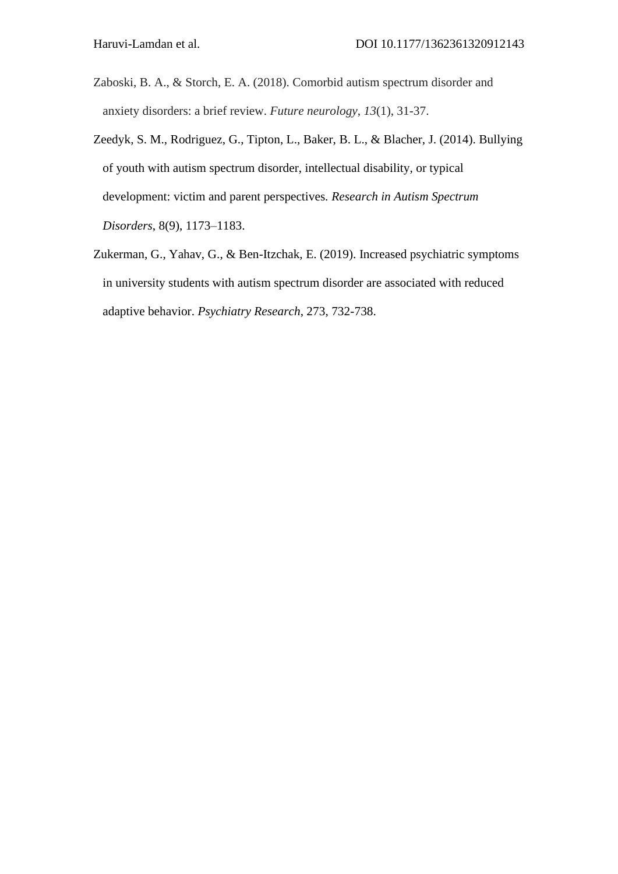- Zaboski, B. A., & Storch, E. A. (2018). Comorbid autism spectrum disorder and anxiety disorders: a brief review. *Future neurology*, *13*(1), 31-37.
- Zeedyk, S. M., Rodriguez, G., Tipton, L., Baker, B. L., & Blacher, J. (2014). Bullying of youth with autism spectrum disorder, intellectual disability, or typical development: victim and parent perspectives*. Research in Autism Spectrum Disorders*, 8(9), 1173–1183.
- Zukerman, G., Yahav, G., & Ben-Itzchak, E. (2019). Increased psychiatric symptoms in university students with autism spectrum disorder are associated with reduced adaptive behavior. *Psychiatry Research*, 273, 732-738.